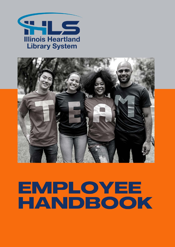



# EMPLOYEE HANDBOOK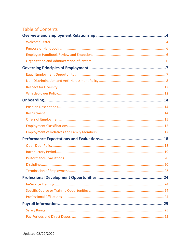# Table of Contents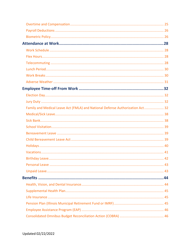| Family and Medical Leave Act (FMLA) and National Defense Authorization Act 32 |  |
|-------------------------------------------------------------------------------|--|
|                                                                               |  |
|                                                                               |  |
|                                                                               |  |
|                                                                               |  |
|                                                                               |  |
|                                                                               |  |
|                                                                               |  |
|                                                                               |  |
|                                                                               |  |
|                                                                               |  |
|                                                                               |  |
|                                                                               |  |
|                                                                               |  |
|                                                                               |  |
|                                                                               |  |
|                                                                               |  |
|                                                                               |  |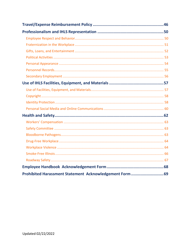| Prohibited Harassment Statement Acknowledgement Form  69 |
|----------------------------------------------------------|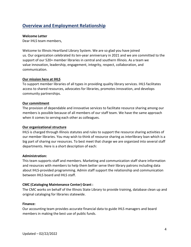# <span id="page-4-0"></span>**Overview and Employment Relationship**

#### <span id="page-4-1"></span>**Welcome Letter**

Dear IHLS team members,

Welcome to Illinois Heartland Library System. We are so glad you have joined us. Our organization celebrated its ten-year anniversary in 2021 and we are committed to the support of our 520+ member libraries in central and southern Illinois. As a team we value innovation, leadership, engagement, integrity, respect, collaboration, and communication.

#### **Our mission here at IHLS**

To support member libraries of all types in providing quality library services. IHLS facilitates access to shared resources, advocates for libraries, promotes innovation, and develops community partnerships.

#### **Our commitment**

The provision of dependable and innovative services to facilitate resource sharing among our members is possible because of all members of our staff team. We have the same approach when it comes to serving each other as colleagues.

#### **Our organizational structure**

IHLS is charged through Illinois statutes and rules to support the resource sharing activities of our member libraries. You may wish to think of resource sharing as interlibrary loan which is a big part of sharing our resources. To best meet that charge we are organized into several staff departments. Here is a short description of each:

# **Administration:**

This team supports staff and members. Marketing and communication staff share information and resources with members to help them better serve their library patrons including data about IHLS-provided programming. Admin staff support the relationship and communication between IHLS board and IHLS staff.

# **CMC (Cataloging Maintenance Center) Grant :**

The CMC works on behalf of the Illinois State Library to provide training, database clean up and original cataloging for libraries statewide.

#### **Finance:**

Our accounting team provides accurate financial data to guide IHLS managers and board members in making the best use of public funds.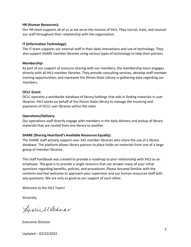#### **HR (Human Resources):**

Our HR team supports all of us as we serve the mission of IHLS. They recruit, train, and counsel our staff throughout their relationship with the organization.

#### **IT (Information Technology):**

The IT team supports our internal staff in their daily interactions and use of technology. They also support SHARE member libraries using various types of technology to help their patrons.

#### **Membership:**

As part of our support of resource sharing with our members, the membership team engages directly with all IHLS member libraries. They provide consulting services, develop staff member training opportunities, and represent the Illinois State Library in gathering data regarding our members.

#### **OCLC Grant:**

OCLC operates a worldwide database of library holdings that aids in finding materials in user libraries. IHLS works on behalf of the Illinois State Library to manage the invoicing and payments of OCLC user libraries within the state.

#### **Operations/Delivery:**

Our operations staff directly engage with members in the daily delivery and pickup of library materials that are routed from one library to another.

# **SHARE (Sharing Heartland's Available Resources Equally):**

The SHARE staff actively support over 342 member libraries who share the use of a library database. The platform allows library patrons to place holds on materials from one of a large group of member libraries.

This staff handbook was created to provide a roadmap to your relationship with IHLS as an employee. The goal is to provide a single resource that can answer many of your initial questions regarding benefits, policies, and procedures. Please become familiar with the contents and feel welcome to approach your supervisor and our human resources staff with any questions. We are only as good as our support of each other.

Welcome to the IHLS Team!

Sincerely,

Lislie MBednar

Executive Director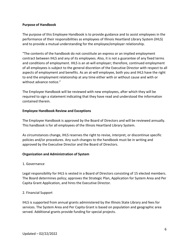#### <span id="page-6-0"></span>**Purpose of Handbook**

The purpose of this Employee Handbook is to provide guidance and to assist employees in the performance of their responsibilities as employees of Illinois Heartland Library System (IHLS) and to provide a mutual understanding for the employee/employer relationship.

"The contents of the handbook do not constitute an express or an implied employment contract between IHLS and any of its employees. Also, it is not a guarantee of any fixed terms and conditions of employment. IHLS is an at-will employer; therefore, continued employment of all employees is subject to the general discretion of the Executive Director with respect to all aspects of employment and benefits. As an at-will employee, both you and IHLS have the right to end the employment relationship at any time either with or without cause and with or without advance notice."

The Employee Handbook will be reviewed with new employees, after which they will be required to sign a statement indicating that they have read and understood the information contained therein.

#### <span id="page-6-1"></span>**Employee Handbook Review and Exceptions**

The Employee Handbook is approved by the Board of Directors and will be reviewed annually. This handbook is for all employees of the Illinois Heartland Library System.

As circumstances change, IHLS reserves the right to revise, interpret, or discontinue specific policies and/or procedures. Any such changes to the handbook must be in writing and approved by the Executive Director and the Board of Directors.

# <span id="page-6-2"></span>**Organization and Administration of System**

#### 1. Governance

Legal responsibility for IHLS is vested in a Board of Directors consisting of 15 elected members. The Board determines policy; approves the Strategic Plan, Application for System Area and Per Capita Grant Application, and hires the Executive Director.

#### 2. Financial Support

IHLS is supported from annual grants administered by the Illinois State Library and fees for services. The System Area and Per Capita Grant is based on population and geographic area served. Additional grants provide funding for special projects.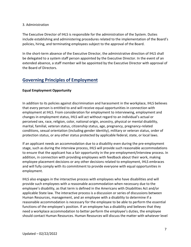#### 3. Administration

The Executive Director of IHLS is responsible for the administration of the System. Duties include establishing and administering procedures related to the implementation of the Board's policies, hiring, and terminating employees subject to the approval of the Board.

In the short-term absence of the Executive Director, the administrative direction of IHLS shall be delegated to a system staff person appointed by the Executive Director. In the event of an extended absence, a staff member will be appointed by the Executive Director with approval of the Board of Directors.

# <span id="page-7-0"></span>**Governing Principles of Employment**

# <span id="page-7-1"></span>**Equal Employment Opportunity**

In addition to its policies against discrimination and harassment in the workplace, IHLS believes that every person is entitled to and will receive equal opportunities in connection with employment at IHLS. From consideration for employment to interviewing, employment and changes in employment status, IHLS will act without regard to an individual's actual or perceived sex, race, religion, color, national origin, ancestry, physical or mental disability, marital, familial, veteran status, citizenship status, age, pregnancy, pregnancy-related conditions, sexual orientation (including gender identity), military or veteran status, order of protection status, or any other status protected by applicable federal, state, or local laws.

If an applicant needs an accommodation due to a disability even during the pre-employment stage, such as during the interview process, IHLS will provide such reasonable accommodations to ensure that the applicant has a fair opportunity in the pre-employment/interview process. In addition, in connection with providing employees with feedback about their work, making employee placement decisions or any other decisions related to employment, IHLS embraces and will fully comply with its commitment to provide everyone with equal opportunities in employment.

IHLS also engages in the interactive process with employees who have disabilities and will provide such employees with a reasonable accommodation when necessary due to the employee's disability, as that term is defined in the Americans with Disabilities Act and/or applicable State law. The interactive process is a discussion or series of discussions between Human Resources, management, and an employee with a disability to determine if a reasonable accommodation is necessary for the employee to be able to perform the essential functions of the employee's position. If an employee has a disability and believes that they need a workplace accommodation to better perform the employee's duties, the employee should contact Human Resources. Human Resources will discuss the matter with whatever level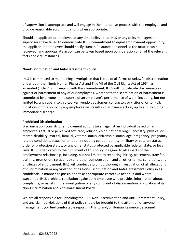of supervision is appropriate and will engage in the interactive process with the employee and provide reasonable accommodations when appropriate.

Should an applicant or employee at any time believe that IHLS or any of its managers or supervisors have failed to demonstrate IHLS' commitment to equal employment opportunity, the applicant or employee should notify Human Resource personnel so the matter can be reviewed, and appropriate action can be taken based upon consideration of all of the relevant facts and circumstances.

#### <span id="page-8-0"></span>**Non-Discrimination and Anti-Harassment Policy**

IHLS is committed to maintaining a workplace that is free of all forms of unlawful discrimination under both the Illinois Human Rights Act and Title VII of the Civil Rights Act of 1964, as amended (Title VII). In keeping with this commitment, IHLS will not tolerate discrimination against or harassment of any of our employees, whether that discrimination or harassment is committed by anyone in the course of an employee's performance of work, including, but not limited to, any supervisor, co-worker, vendor, customer, contractor, or visitor of or to IHLS. Violations of this policy by any employee will result in disciplinary action, up to and including immediate discharge.

#### **Prohibited Discrimination**

Discrimination consists of employment actions taken against an individual based on an employee's actual or perceived sex, race, religion, color, national origin, ancestry, physical or mental disability, marital, familial, veteran status, citizenship status, age, pregnancy, pregnancyrelated conditions, sexual orientation (including gender identity), military or veteran status, order of protection status, or any other status protected by applicable federal, state, or local laws. IHLS is dedicated to the fulfillment of this policy in regard to all aspects of the employment relationship, including, but not limited to recruiting, hiring, placement, transfer, training, promotion, rates of pay and other compensation, and all other terms, conditions, and privileges of employment. IHLS will conduct a prompt, thorough investigation of all allegations of discrimination or any violation of its Non-Discrimination and Anti-Harassment Policy in as confidential a manner as possible to take appropriate corrective action, if and where warranted. IHLS prohibits retaliation against any employee who provides information about, complaints, or assists in the investigation of any complaint of discrimination or violation of its Non-Discrimination and Anti-Harassment Policy.

We are all responsible for upholding the IHLS Non-Discrimination and Anti-Harassment Policy, and any claimed violations of that policy should be brought to the attention of anyone in management you feel comfortable reporting thisto and/or Human Resource personnel.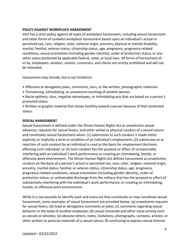# **POLICY AGAINST WORKPLACE HARASSMENT**

IHLS has a strict policy against all types of workplace harassment, including sexual harassment and other forms of unlawful workplace harassment based upon an individual's actual or perceived sex, race, religion, color, national origin, ancestry, physical or mental disability, marital, familial, veteran status, citizenship status, age, pregnancy, pregnancy-related conditions, sexual orientation (including gender identity), order of protection status, or any other status protected by applicable federal, state, or local laws. All forms of harassment of, or by, employees, vendors, visitors, customers, and clients are strictly prohibited and will not be tolerated.

Harassment may include, but is not limited to:

- Offensive or derogatory jokes, comments, slurs, or like written, photographic materials.
- Threatening, intimidating, or unwelcome touching of another person.
- Racial epithets, slurs, negative stereotypes, or intimidating acts that are based on a person's protected status.
- Written or graphic material that shows hostility toward a person because of their protected status.

#### **SEXUAL HARASSMENT**

Sexual harassment is defined under the Illinois Human Rights Act as unwelcome sexual advances, requests for sexual favors, and other verbal or physical conduct of a sexual nature and constitutes sexual harassment when: (1) submission to such conduct is made either explicitly or implicitly a term or condition of an individual's employment; (2) submission to or rejection of such conduct by an individual is used as the basis for employment decisions affecting such individual; or (3) such conduct has the purpose or effect of unreasonably interfering with an individual's work performance or creating an intimidating, hostile, or offensive work environment. The Illinois Human Rights Act defines harassment as unwelcome conduct on the basis of a person's actual or perceived sex, race, color, religion, national origin, ancestry, marital status, familial, or veteran status, citizenship status, age, pregnancy, pregnancy-related conditions, sexual orientation (including gender identity), order of protection status, or unfavorable discharge from the military that has the purpose or effect of substantially interfering with the individual's work performance, or creating an intimidating, hostile, or offensive work environment.

While it is not possible to identify each and every act that constitutes or may constitute sexual harassment, some examples of sexual harassment are provided below: (a) unwelcome requests for sexual favors; (b) lewd or derogatory comments or jokes; (c) comments regarding sexual behavior or the body of another employee; (d) sexual innuendo and other vocal activity such as catcalls or whistles; (e) obscene letters, notes, invitations, photographs, cartoons, articles, or other written or pictorial materials of a sexual nature; (f) continuing to express sexual interest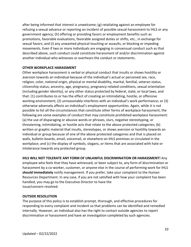after being informed that interest is unwelcome; (g) retaliating against an employee for refusing a sexual advance or reporting an incident of possible sexual harassment to IHLS or any government agency; (h) offering or providing favors or employment benefits such as promotions, favorable evaluations, favorable assigned duties or shifts, etc., in exchange for sexual favors; and (i) any unwanted physical touching or assaults, or blocking or impeding movements. Even if two or more individuals are engaging in consensual conduct such as that described above, such conduct could constitute harassment of and/or discrimination against another individual who witnesses or overhears the conduct or statements.

#### **OTHER WORKPLACE HARASSMENT**

Other workplace harassment is verbal or physical conduct that insults or shows hostility or aversion towards an individual because of the individual's actual or perceived sex, race, religion, color, national origin, physical or mental disability, marital, familial, veteran status, citizenship status, ancestry, age, pregnancy, pregnancy-related conditions, sexual orientation (including gender identity), or any other status protected by federal, state, or local laws, and that: (1) contributes to or has the effect of creating an intimidating, hostile, or offensive working environment; (2) unreasonably interferes with an individual's work performance; or (3) otherwise adversely affects an individual's employment opportunities. Again, while it is not possible to list all the circumstances that constitute other forms of workplace harassment, the following are some examples of conduct that may constitute prohibited workplace harassment: (a) the use of disparaging or abusive words or phrases, slurs, negative stereotyping, or threatening, intimidating, or hostile acts that relate to the above protected categories; (b) written or graphic material that insults, stereotypes, or shows aversion or hostility towards an individual or group because of one of the above protected categories and that is placed on walls, bulletin boards, email, voicemail, or elsewhere on IHLS premises or circulated in the workplace; and (c) the display of symbols, slogans, or items that are associated with hate or intolerance towards any protected group.

# **IHLS WILL NOT TOLERATE ANY FORM OF UNLAWFUL DISCRIMINATION OR HARASSMENT!** Any

employee who feels that they have witnessed, or been subject to, any form of discrimination or harassment by a co-worker, customer, or anyone else in the course of performing work for IHLS **should immediately** notify management. If you prefer, take your complaint to the Human Resources Department. In any case, if you are not satisfied with how your complaint has been handled, you may go to the Executive Director to have the issue/concern resolved.

#### **OUTSIDE RESOLUTION**

The purpose of this policy is to establish prompt, thorough, and effective procedures for responding to every complaint and incident so that problems can be identified and remedied internally. However, an individual also has the right to contact outside agencies to report discrimination or harassment and have an investigation completed by such agencies.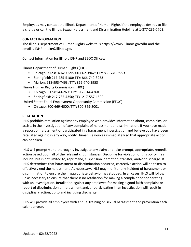Employees may contact the Illinois Department of Human Rights if the employee desires to file a charge or call the Illinois Sexual Harassment and Discrimination Helpline at 1-877-236-7703.

#### **CONTACT INFORMATION**

The Illinois Department of Human Rights website is <https://www2.illinois.gov/dhr> and the email is [IDHR.Intake@illinois.gov.](mailto:IDHR.Intake@illinois.gov)

Contact Information for Illinois IDHR and EEOC Offices:

Illinois Department of Human Rights (IDHR)

- Chicago: 312-814-6200 or 800-662-3942; TTY: 866-740-3953
- Springfield: 217-785-5100; TTY: 866-740-3953
- Marion: 618-993-7463; TTY: 866-740-3953

Illinois Human Rights Commission (IHRC)

- Chicago: 312-814-6269; TTY: 312-814-4760
- Springfield: 217-785-4350; TTY: 217-557-1500

United States Equal Employment Opportunity Commission (EEOC)

• Chicago: 800-669-4000; TTY: 800-869-8001

#### **RETALIATION**

IHLS prohibits retaliation against any employee who provides information about, complains, or assists in the investigation of any complaint of harassment or discrimination. If you have made a report of harassment or participated in a harassment investigation and believe you have been retaliated against in any way, notify Human Resources immediately so that appropriate action can be taken.

IHLS will promptly and thoroughly investigate any claim and take prompt, appropriate, remedial action based upon all of the relevant circumstances. Discipline for violation of this policy may include, but is not limited to, reprimand, suspension, demotion, transfer, and/or discharge. If IHLS determines that harassment or discrimination occurred, corrective action will be taken to effectively end the harassment. As necessary, IHLS may monitor any incident of harassment or discrimination to ensure the inappropriate behavior has stopped. In all cases, IHLS will follow up as necessary to ensure that there is no retaliation for making a complaint or cooperating with an investigation. Retaliation against any employee for making a good faith complaint or report of discrimination or harassment and/or participating in an investigation will result in disciplinary action, up to and including discharge.

IHLS will provide all employees with annual training on sexual harassment and prevention each calendar year.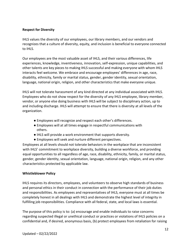# <span id="page-12-0"></span>**Respect for Diversity**

IHLS values the diversity of our employees, our library members, and our vendors and recognizes that a culture of diversity, equity, and inclusion is beneficial to everyone connected to IHLS.

Our employees are the most valuable asset of IHLS, and their various differences, life experiences, knowledge, inventiveness, innovation, self-expression, unique capabilities, and other talents are key pieces to making IHLS successful and making everyone with whom IHLS interacts feel welcome. We embrace and encourage employees' differences in age, race, disability, ethnicity, family or marital status, gender, gender identity, sexual orientation, language, national origin, religion, and other characteristics that make everyone unique.

IHLS will not tolerate harassment of any kind directed at any individual associated with IHLS. Employees who do not show respect for the diversity of any IHLS employee, library member, vendor, or anyone else doing business with IHLS will be subject to disciplinary action, up to and including discharge. IHLS will attempt to ensure that there is diversity at all levels of the organization.

- Employees will recognize and respect each other's differences.
- Employees will at all times engage in respectful communications with others.
- IHLS will provide a work environment that supports diversity.
- Employees will seek and nurture different perspectives.

Employees at all levels should not tolerate behaviors in the workplace that are inconsistent with IHLS' commitment to workplace diversity, building a diverse workforce, and providing equal opportunities to all regardless of age, race, disability, ethnicity, family, or marital status, gender, gender identity, sexual orientation, language, national origin, religion, and any other characteristics protected by applicable law.

# <span id="page-12-1"></span>**Whistleblower Policy**

IHLS requires its directors, employees, and volunteers to observe high standards of business and personal ethics in their conduct in connection with the performance of their job duties and responsibilities. As employees and representatives of IHLS, everyone must at all times be completely honest in all dealings with IHLS and demonstrate the highest level of integrity in fulfilling job responsibilities. Compliance with all federal, state, and local laws is essential.

The purpose of this policy is to: (a) encourage and enable individuals to raise concerns regarding suspected illegal or unethical conduct or practices or violations of IHLS policies on a confidential and, if desired, anonymous basis, (b) protect employees from retaliation for raising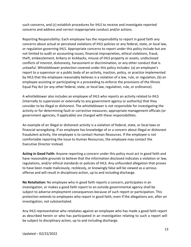such concerns, and (c) establish procedures for IHLS to receive and investigate reported concerns and address and correct inappropriate conduct and/or actions.

Reporting Responsibility: Each employee has the responsibility to report in good faith any concerns about actual or perceived violations of IHLS policies or any federal, state, or local law, or regulation governing IHLS. Appropriate concerns to report under this policy include but are not limited to audit or accounting issues, financial improprieties, ethical violations, fraud, theft, embezzlement, bribery or kickbacks, misuse of IHLS property or assets, undisclosed conflicts of interest, dishonesty, harassment or discrimination, or any other conduct that is unlawful. Whistleblower protection covered under this policy includes: (a) an employee's report to a supervisor or a public body of an activity, inaction, policy, or practice implemented by IHLS that the employee reasonably believes is a violation of a law, rule, or regulation, (b) an employee assisting or participating in a proceeding to enforce the provisions of the Illinois Equal Pay Act (or any other federal, state, or local law, regulation, rule, or ordinance).

A whistleblower also includes an employee of IHLS who reports an activity related to IHLS (internally to supervision or externally to any government agency or authority) that they consider to be illegal or dishonest. The whistleblower is not responsible for investigating the activity or for determining fault or corrective measures; appropriate management officials (or government agencies, if applicable) are charged with these responsibilities.

An example of an illegal or dishonest activity is a violation of federal, state, or local laws or financial wrongdoing. If an employee has knowledge of or a concern about illegal or dishonest fraudulent activity, the employee is to contact Human Resources. If the employee is not comfortable reporting the issue to Human Resources, the employee may contact the Executive Director instead.

**Acting in Good Faith:** Anyone reporting a concern under this policy must act in good faith and have reasonable grounds to believe that the information disclosed indicates a violation or law, regulations, and/or ethical standards or policies of IHLS. Any unfounded allegation that proves to have been made maliciously, recklessly, or knowingly false will be viewed as a serious offense and will result in disciplinary action, up to and including discharge.

**No Retaliation:** No employee who in good faith reports a concern, participates in an investigation, or makes a good faith report to an outside governmental agency shall be subject to adverse employment consequences because of such report or participation. This protection extends to employees who report in good faith, even if the allegations are, after an investigation, not substantiated.

Any IHLS representative who retaliates against an employee who has made a good faith report as described herein or who has participated in an investigation relating to such a report will be subject to disciplinary action, up to and including discharge.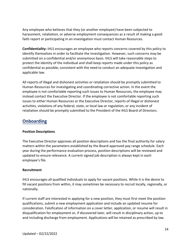Any employee who believes that they (or another employee) have been subjected to harassment, retaliation, or adverse employment consequences as a result of making a good faith report or participating in an investigation must contact Human Resources.

**Confidentiality:** IHLS encourages an employee who reports concerns covered by this policy to identify themselves in order to facilitate the investigation. However, such concerns may be submitted on a confidential and/or anonymous basis. IHLS will take reasonable steps to protect the identity of the individual and shall keep reports made under this policy as confidential as possible, consistent with the need to conduct an adequate investigation and applicable law.

All reports of illegal and dishonest activities or retaliation should be promptly submitted to Human Resources for investigating and coordinating corrective action. In the event the employee is not comfortable reporting such issues to Human Resources, the employee may instead contact the Executive Director. If the employee is not comfortable reporting such issues to either Human Resources or the Executive Director, reports of illegal or dishonest activities, violations of any federal, state, or local law or regulation, or any incident of retaliation should be promptly submitted to the President of the IHLS Board of Directors.

# <span id="page-14-1"></span><span id="page-14-0"></span>**Onboarding**

#### **Position Descriptions**

The Executive Director approves all position descriptions and has the final authority for salary matters within the parameters established by the Board-approved pay range schedule. Each year during the performance evaluation process, position descriptions will be reviewed and updated to ensure relevance. A current signed job description is always kept in each employee's file.

# <span id="page-14-2"></span>**Recruitment**

IHLS encourages all qualified individuals to apply for vacant positions. While it is the desire to fill vacant positions from within, it may sometimes be necessary to recruit locally, regionally, or nationally.

If current staff are interested in applying for a new position, they must first meet the position qualifications, submit a new employment application and include an updated resume for consideration. Falsification of information on a cover letter, application, or resume will result in disqualification for employment or, if discovered later, will result in disciplinary action, up to and including discharge from employment. Applications will be retained as prescribed by law.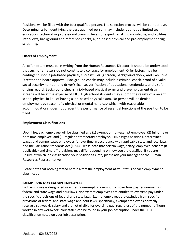Positions will be filled with the best qualified person. The selection process will be competitive. Determinants for identifying the best qualified person may include, but not be limited to: education, technical or professional training, levels of expertise (skills, knowledge, and abilities), interviews, background and reference checks, a job-based physical and pre-employment drug screening.

# <span id="page-15-0"></span>**Offers of Employment**

All offer letters must be in writing from the Human Resources Director. It should be understood that such offer letters do not constitute a contract for employment. Offer letters may be contingent upon a job-based physical, successful drug screen, background check, and Executive Director and board approval. Background checks may include a criminal check, proof of a valid social security number and driver's license, verification of educational credentials, and a safe driving record. Background checks, a job-based physical exam and pre-employment drug screens will be at the expense of IHLS. High school students may submit the results of a recent school physical in lieu of having a job-based physical exam. No person will be denied employment by reason of a physical or mental handicap which, with reasonable accommodations, does not prevent the performance of essential functions of the position to be filled.

# <span id="page-15-1"></span>**Employment Classifications**

Upon hire, each employee will be classified as a (1) exempt or non-exempt employee, (2) full-time or part-time employee, and (3) regular or temporary employee. IHLS assigns positions, determines wages and compensates employees for overtime in accordance with applicable state and local laws and the Fair Labor Standards Act (FLSA). Please note that certain wage, salary, employee benefits (if applicable) and time-off provisions may differ depending on how you are classified. If you are unsure of which job classification your position fits into, please ask your manager or the Human Resources Representative.

Please note that nothing stated herein alters the employment-at-will status of each employment classification.

# **EXEMPT AND NON-EXEMPT EMPLOYEES**

Each employee is designated as either nonexempt or exempt from overtime pay requirements in federal and state wage and hour laws. Nonexempt employees are entitled to overtime pay under the specific provisions of federal and state laws. Exempt employees are excluded from specific provisions of federal and state wage and hour laws; specifically, exempt employees normally receive a set weekly salary and are not eligible for overtime pay, regardless of the number of hours worked in any workweek. Your status can be found in your job description under the FLSA classification noted on your job description.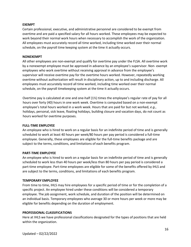#### **EXEMPT**

Certain professional, executive, and administrative personnel are considered to be exempt from overtime and are paid a specified salary for all hours worked. These employees may be expected to work beyond their normal work hours when necessary to accomplish the work of the organization. All employees must accurately record all time worked, including time worked over their normal schedule, on the payroll time keeping system at the time it actually occurs.

#### **NONEXEMPT**

All other employees are non-exempt and qualify for overtime pay under the FLSA. All overtime work by a nonexempt employee must be approved in advance by an employee's supervisor. Non- exempt employees who work overtime without receiving approval in advance from the employee's supervisor will receive overtime pay for the overtime hours worked. However, repeatedly working overtime without authorization will result in disciplinary action, up to and including discharge. All employees must accurately record all time worked, including time worked over their normal schedule, on the payroll timekeeping system at the time it actually occurs.

Overtime pay is calculated at one and one-half (1½) times the employee's regular rate of pay for all hours over forty (40) hours in one work week. Overtime is computed based on a non-exempt employee's total hours worked in a work week. Hours that are paid for but not worked, *e.g.*, holidays, personal, sick leave, floating holidays, building closure and vacation days, do not count as hours worked for overtime purposes.

#### **FULL-TIME EMPLOYEE**

An employee who is hired to work on a regular basis for an indefinite period of time and is generally scheduled to work at least 40 hours per week/80 hours per pay period is considered a full-time employee. Generally, these employees are eligible for the full-time benefits package and are subject to the terms, conditions, and limitations of each benefits program.

#### **PART-TIME EMPLOYEE**

An employee who is hired to work on a regular basis for an indefinite period of time and is generally scheduled to work less than 40 hours per week/less than 80 hours per pay period is considered a part-time employee. Part-time employees are eligible for some of the benefits offered by IHLS and are subject to the terms, conditions, and limitations of each benefits program.

#### **TEMPORARY EMPLOYEE**

From time to time, IHLS may hire employees for a specific period of time or for the completion of a specific project. An employee hired under these conditions will be considered a temporary employee. The job assignment, work schedule, and duration of the position will be determined on an individual basis. Temporary employees who average 30 or more hours per week or more may be eligible for benefits depending on the duration of employment.

#### **PROFESSIONAL CLASSIFICATIONS**

Here at IHLS we have professional classifications designated for the types of positions that are held within the organization.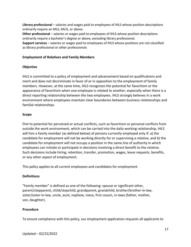**Library professional** – salaries and wages paid to employees of IHLS whose position descriptions ordinarily require an MLS, MLIS, or above.

**Other professional** – salaries or wages paid to employees of IHLS whose position descriptions ordinarily require a bachelor's degree or above, excluding library professional.

**Support services** – salaries or wages paid to employees of IHLS whose positions are not classified as library professional or other professionals

# <span id="page-17-0"></span>**Employment of Relatives and Family Members**

# **Objective**

IHLS is committed to a policy of employment and advancement based on qualifications and merit and does not discriminate in favor of or in opposition to the employment of family members. However, at the same time, IHLS recognizes the potential for favoritism or the appearance of favoritism when one employee is related to another, especially when there is a direct reporting relationship between the two employees. IHLS strongly believes in a work environment where employees maintain clear boundaries between business relationships and familial relationships.

# **Scope**

Due to potential for perceived or actual conflicts, such as favoritism or personal conflicts from outside the work environment, which can be carried into the daily working relationship, IHLS will hire a family member (as defined below) of persons currently employed only if: a) the candidate for employment will not be working directly for or supervising a relative, and b) the candidate for employment will not occupy a position in the same line of authority in which employees can initiate or participate in decisions involving a direct benefit to the relative. Such decisions include hiring, retention, transfer, promotion, wages, leave requests, benefits, or any other aspect of employment.

This policy applies to all current employees and candidates for employment.

# **Definitions**

"Family member" is defined as one of the following: spouse or significant other, parent/stepparent, child/stepchild, grandparent, grandchild, brother/brother-in-law, sister/sister-in-law, uncle, aunt, nephew, niece, first cousin, in-laws (father, mother, son, daughter).

# **Procedure**

To ensure compliance with this policy, our employment application requests all applicants to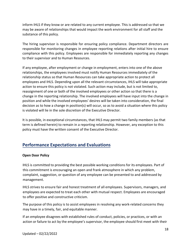inform IHLS if they know or are related to any current employee. This is addressed so that we may be aware of relationships that would impact the work environment for all staff and the substance of this policy.

The hiring supervisor is responsible for ensuring policy compliance. Department directors are responsible for monitoring changes in employee reporting relations after initial hire to ensure compliance with this policy. Employees are responsible for immediately reporting any changes to their supervisor and to Human Resources.

If any employee, after employment or change in employment, enters into one of the above relationships, the employees involved must notify Human Resources immediately of the relationship status so that Human Resources can take appropriate action to protect all employees and IHLS. Depending upon all the relevant circumstances, IHLS will take appropriate action to ensure this policy is not violated. Such action may include, but is not limited to, reassignment of one or both of the involved employees or other action so that there is a change in the reporting relationship. The involved employees will have input into the change in position and while the involved employees' desires will be taken into consideration, the final decision as to how a change in position(s) will occur, so as to avoid a situation where this policy is violated will lie in the sole discretion of the Executive Director.

It is possible, in exceptional circumstances, that IHLS may permit two family members (as that term is defined herein) to remain in a reporting relationship. However, any exception to this policy must have the written consent of the Executive Director.

# <span id="page-18-0"></span>**Performance Expectations and Evaluations**

# <span id="page-18-1"></span>**Open Door Policy**

IHLS is committed to providing the best possible working conditions for its employees. Part of this commitment is encouraging an open and frank atmosphere in which any problem, complaint, suggestion, or question of any employee can be presented to and addressed by management.

IHLS strives to ensure fair and honest treatment of all employees. Supervisors, managers, and employees are expected to treat each other with mutual respect. Employees are encouraged to offer positive and constructive criticism.

The purpose of this policy is to assist employees in resolving any work-related concerns they may have in a timely, fair, and equitable manner.

If an employee disagrees with established rules of conduct, policies, or practices, or with an action or failure to act by the employee's supervisor, the employee should first meet with their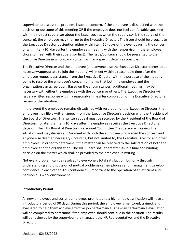supervisor to discuss the problem, issue, or concern. If the employee is dissatisfied with the decision or outcome of this meeting OR if the employee does not feel comfortable speaking with their direct supervisor about the issue (such as when the supervisor is the source of the concern), the employee may then go to the Executive Director. The issue should be brought to the Executive Director's attention either within ten (10) days of the event causing the concern or within ten (10) days after the employee's meeting with their supervisor (if the employee chose to meet with their supervisor first). The issue/concern should be presented to the Executive Director in writing and contain as many specific details as possible.

The Executive Director and the employee (and anyone else the Executive Director deems to be necessary/appropriate to join the meeting) will meet within a reasonable time after the employee requests assistance from the Executive Director with the purpose of the meeting being to resolve the employee's concern on terms that both the employee and the organization can agree upon. Based on the circumstances, additional meetings may be necessary with either the employee with the concern or others. The Executive Director will issue a written response within a reasonable time after completion of the Executive Director's review of the situation.

In the event the employee remains dissatisfied with resolution of the Executive Director, the employee may file a written appeal from the Executive Director's decision with the President of the Board of Directors. This written appeal must be received by the President of the Board of Directors no later than ten (10) days after the employee receives the Executive Director's decision. The IHLS Board of Directors' Personnel Committee Chairperson will review the situation and may discuss and/or meet with both the employee who voiced the concern and anyone else deemed necessary (including, but not limited to, the Executive Director and other employees) in order to determine if the matter can be resolved to the satisfaction of both the employee and the organization. The IHLS Board shall thereafter issue a final and binding decision on the matter which shall be provided to the employee in writing.

Not every problem can be resolved to everyone's total satisfaction, but only through understanding and discussion of mutual problems can employees and management develop confidence in each other. This confidence is important to the operation of an efficient and harmonious work environment.

# <span id="page-19-0"></span>**Introductory Period**

All new employees and current employees promoted to a higher job classification will have an introductory period of 90 days. During this period, the employee is mentored, trained, and evaluated to help them achieve effective job performance. A 90-day performance evaluation will be completed to determine if the employee should continue in the position. The results will be reviewed by the supervisor, the manager, the HR Representative, and the Executive Director.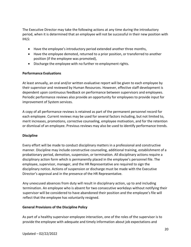The Executive Director may take the following actions at any time during the introductory period, when it is determined that an employee will not be successful in their new position with IHLS:

- Have the employee's introductory period extended another three months,
- Have the employee demoted, returned to a prior position, or transferred to another position (if the employee was promoted),
- Discharge the employee with no further re-employment rights.

# <span id="page-20-0"></span>**Performance Evaluations**

At least annually, an oral and/or written evaluative report will be given to each employee by their supervisor and reviewed by Human Resources. However, effective staff development is dependent upon continuous feedback on performance between supervisors and employees. Periodic performance reviews also provide an opportunity for employees to provide input for improvement of System services.

A copy of all performance reviews is retained as part of the permanent personnel record for each employee. Current reviews may be used for several factors including, but not limited to, merit increases, promotions, corrective counseling, employee motivation, and for the retention or dismissal of an employee. Previous reviews may also be used to identify performance trends.

# <span id="page-20-1"></span>**Discipline**

Every effort will be made to conduct disciplinary matters in a professional and constructive manner. Discipline may include constructive counseling, additional training, establishment of a probationary period, demotion, suspension, or termination. All disciplinary actions require a disciplinary action form which is permanently placed in the employee's personnel file. The employee, supervisor, manager, and the HR Representative are required to sign the disciplinary notice. Actions of suspension or discharge must be made with the Executive Director's approval and in the presence of the HR Representative.

Any unexcused absences from duty will result in disciplinary action, up to and including termination. An employee who is absent for two consecutive workdays without notifying their supervisor will be considered to have abandoned their position and the employee's file will reflect that the employee has voluntarily resigned.

# **General Provisions of the Discipline Policy**

As part of a healthy supervisor-employee interaction, one of the roles of the supervisor is to provide the employee with adequate and timely information about job expectations and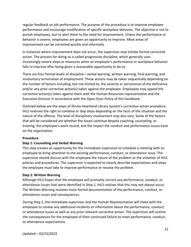regular feedback on job performance. The purpose of the procedure is to improve employee performance and encourage modification of specific workplace behavior. The objective is not to punish employees, but to alert them to the need for improvement. Unless the performance or behavior is severe, employees are given an opportunity to improve. Most areas of improvement can be corrected quickly and informally.

In instances where improvement does not occur, the supervisor may initiate formal corrective action. The process for doing so is called progressive discipline, which generally uses increasingly severe steps or measures when an employee's performance or workplace behavior fails to improve after being given a reasonable opportunity to do so.

There are four formal levels of discipline—verbal warning, written warning, final warning, and involuntary termination of employment. These actions may be taken sequentially depending on the number of factors including, but not limited to, the severity or persistence of the deficiency and/or any prior corrective action(s) taken against the employee. Employees may appeal the corrective action(s) taken against them with the Human Resources representative and the Executive Director in accordance with the Open-Door Policy of this handbook

Outlined below are the steps of Illinois Heartland Library System's corrective action procedure. IHLS reserves the right to combine or skip steps depending on the facts of the situation and the nature of the offense. The level of disciplinary involvement may also vary. Some of the factors that will be considered are whether the issues continue despite coaching, counseling, or training, the employee's work record, and the impact the conduct and performance issues have on the organization.

# **Procedure**

# **Step 1: Counseling and Verbal Warning**

This step creates an opportunity for the immediate supervisor to schedule a meeting with an employee to bring attention to the existing performance, conduct, or attendance issue. The supervisor should discuss with the employee the nature of the problem or the violation of IHLS policies and procedures. The supervisor is expected to clearly describe expectations and steps the employee must take to improve performance or resolve the problem.

# **Step 2: Written Warning**

Although IHLS hopes that the employee will promptly correct any performance, conduct, or attendance issues that were identified in Step 1, IHLS realizes that this may not always occur. The Written Warning involves more formal documentation of the performance, conduct, or attendance issues and consequences.

During Step 2, the immediate supervisor and the Human Representative will meet with the employee to review any additional incidents or information about the performance, conduct, or attendance issues as well as any prior relevant corrective action. The supervisor will outline the consequences for the employee of their continued failure to meet performance, conduct, or attendance expectations.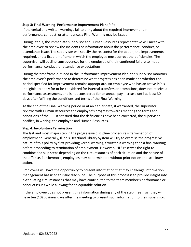#### **Step 3: Final Warning- Performance Improvement Plan (PIP)**

If the verbal and written warnings fail to bring about the required improvement in performance, conduct, or attendance, a Final Warning may be issued.

During Step 3, the immediate supervisor and Human Resources representative will meet with the employee to review the incidents or information about the performance, conduct, or attendance issue. The supervisor will specify the reason(s) for the action, the improvements required, and a fixed timeframe in which the employee must correct the deficiencies. The supervisor will outline consequences for the employee of their continued failure to meet performance, conduct, or attendance expectations.

During the timeframe outlined in the Performance Improvement Plan, the supervisor monitors the employee's performance to determine what progress has been made and whether the period specified for improvement remains appropriate. An employee who has an active PIP is ineligible to apply for or be considered for internal transfers or promotions, does not receive a performance assessment, and is not considered for an annual pay increase until at least 30 days after fulfilling the conditions and terms of the Final Warning.

At the end of the Final Warning period or at an earlier date, if warranted, the supervisor reviews with Human Resources the employee's progress towards meeting the terms and conditions of the PIP. If satisfied that the deficiencies have been corrected, the supervisor notifies, in writing, the employee and Human Resources.

#### **Step 4: Involuntary Termination**

The last and most major step in the progressive discipline procedure is termination of employment. Generally, Illinois Heartland Library System will try to exercise the progressive nature of this policy by first providing verbal warning, f written a warning then a final warning before proceeding to termination of employment. However, IHLS reserves the right to combine and skip steps depending on the circumstances of each situation and the nature of the offense. Furthermore, employees may be terminated without prior notice or disciplinary action.

Employees will have the opportunity to present information that may challenge information management has used to issue discipline. The purpose of this process is to provide insight into extenuating circumstances that may have contributed to the team member's performance or conduct issues while allowing for an equitable solution.

If the employee does not present this information during any of the step meetings, they will have ten (10) business days after the meeting to present such information to their supervisor.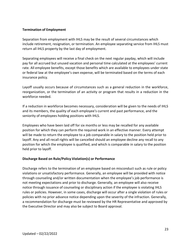# <span id="page-23-0"></span>**Termination of Employment**

Separation from employment with IHLS may be the result of several circumstances which include retirement, resignation, or termination. An employee separating service from IHLS must return all IHLS property by the last day of employment.

Separating employees will receive a final check on the next regular payday, which will include pay for all accrued but unused vacation and personal time calculated at the employees' current rate. All employee benefits, except those benefits which are available to employees under state or federal law at the employee's own expense, will be terminated based on the terms of each insurance policy.

Layoff usually occurs because of circumstances such as a general reduction in the workforce, reorganization, or the termination of an activity or program that results in a reduction in the workforce needed.

If a reduction in workforce becomes necessary, consideration will be given to the needs of IHLS and its members, the quality of each employee's current and past performance, and the seniority of employees holding positions with IHLS.

Employees who have been laid off for six months or less may be recalled for any available position for which they can perform the required work in an effective manner. Every attempt will be made to return the employee to a job comparable in salary to the position held prior to layoff. Any and all recall rights will be cancelled should an employee decline any recall to any position for which the employee is qualified, and which is comparable in salary to the position held prior to layoff.

# **Discharge Based on Rule/Policy Violation(s) or Performance**

Discharge refers to the termination of an employee based on misconduct such as rule or policy violations or unsatisfactory performance. Generally, an employee will be provided with notice through counseling and/or written documentation when the employee's job performance is not meeting expectations and prior to discharge. Generally, an employee will also receive notice through issuance of counseling or disciplinary action if the employee is violating IHLS rules or policies. However, in some cases, discharge will occur after a single violation of rules or policies with no prior advance notice depending upon the severity of the infraction. Generally, a recommendation for discharge must be reviewed by the HR Representative and approved by the Executive Director and may also be subject to Board approval.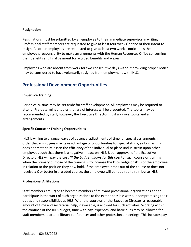#### **Resignation**

Resignations must be submitted by an employee to their immediate supervisor in writing. Professional staff members are requested to give at least four weeks' notice of their intent to resign. All other employees are requested to give at least two weeks' notice. It is the employee's responsibility to make arrangements with the Human Resources Office concerning their benefits and final payment for accrued benefits and wages.

Employees who are absent from work for two consecutive days without providing proper notice may be considered to have voluntarily resigned from employment with IHLS.

# <span id="page-24-0"></span>**Professional Development Opportunities**

#### <span id="page-24-1"></span>**In-Service Training**

Periodically, time may be set aside for staff development. All employees may be required to attend. Pre-determined topics that are of interest will be presented. The topics may be recommended by staff; however, the Executive Director must approve topics and all arrangements.

#### <span id="page-24-2"></span>**Specific Course or Training Opportunities**

IHLS is willing to arrange leaves of absence, adjustments of time, or special assignments in order that employees may take advantage of opportunities for special study, as long as this does not materially lessen the efficiency of the individual or place undue strain upon other employees such that there is a negative impact on IHLS. Upon approval of the Executive Director, IHLS will pay the cost *(if the budget allows for this cost)* of such course or training when the primary purpose of the training is to increase the knowledge or skills of the employee in relation to the position they now hold. If the employee drops out of the course or does not receive a C or better in a graded course, the employee will be required to reimburse IHLS.

#### <span id="page-24-3"></span>**Professional Affiliations**

Staff members are urged to become members of relevant professional organizations and to participate in the work of such organizations to the extent possible without compromising their duties and responsibilities at IHLS. With the approval of the Executive Director, a reasonable amount of time and secretarial help, if available, is allowed for such activities. Working within the confines of the IHLS budget, time with pay, expenses, and basic dues may be allowed for staff members to attend library conferences and other professional meetings. This includes pay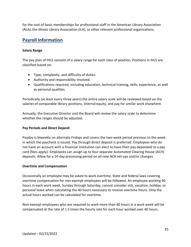for the cost of basic memberships for professional staff in the American Library Association (ALA), the Illinois Library Association (ILA), or other relevant professional organizations.

# <span id="page-25-0"></span>**Payroll Information**

# <span id="page-25-1"></span>**Salary Range**

The pay plan of IHLS consists of a salary range for each class of position. Positions in IHLS are classified based on:

- Type, complexity, and difficulty of duties.
- Authority and responsibility involved.
- Qualifications required, including education, technical training, skills, experience, as well as personal qualities.

Periodically (at least every three years) the entire salary scale will be reviewed based on the salaries of comparable library positions, internal equity, and pay for similar work elsewhere.

Annually, the Executive Director and the Board will review the salary scale to determine whether the ranges should be adjusted.

# <span id="page-25-2"></span>**Pay Periods and Direct Deposit**

Payday is biweekly on alternate Fridays and covers the two-week period previous to the week in which the paycheck is issued. Pay through direct deposit is preferred. Employees who do not have an account with a financial institution can elect to have their pay deposited to a pay card (fees apply). Employees can assign up to four separate Automated Clearing House (ACH) deposits. Allow for a 14-day processing period on all new ACH set-ups and/or changes.

# <span id="page-25-3"></span>**Overtime and Compensation**

Occasionally an employee may be asked to work overtime. State and federal laws covering overtime compensation for non-exempt employees will be followed. An employee working 40 hours in each work week, Sunday through Saturday, cannot consider sick, vacation, holiday, or personal leave when calculating the 40 hours necessary to receive overtime hours. Only the actual hours worked can be calculated for overtime.

Non-exempt employees who are required to work more than 40 hours in a work week will be compensated at the rate of 1.5 times the hourly rate for each hour worked over 40 hours.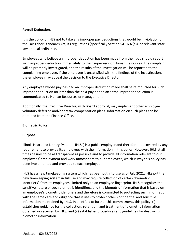# <span id="page-26-0"></span>**Payroll Deductions**

It is the policy of IHLS not to take any improper pay deductions that would be in violation of the Fair Labor Standards Act, its regulations (specifically Section 541.602(a)), or relevant state law or local ordinance.

Employees who believe an improper deduction has been made from their pay should report such improper deduction immediately to their supervisor or Human Resources. The complaint will be promptly investigated, and the results of the investigation will be reported to the complaining employee. If the employee is unsatisfied with the findings of the investigation, the employee may appeal the decision to the Executive Director.

Any employee whose pay has had an improper deduction made shall be reimbursed for such improper deduction no later than the next pay period after the improper deduction is communicated to Human Resources or management.

Additionally, the Executive Director, with Board approval, may implement other employee voluntary deferred and/or pretax compensation plans. Information on such plans can be obtained from the Finance Office.

#### <span id="page-26-1"></span>**Biometric Policy**

# **Purpose**

Illinois Heartland Library System ("IHLS") is a public employer and therefore not covered by any requirement to provide its employees with the information in this policy. However, IHLS at all times desires to be as transparent as possible and to provide all information relevant to our employees' employment and work atmosphere to our employees, which is why this policy has been implemented and provided to each employee.

IHLS has a new timekeeping system which has been put into use as of July 2021. IHLS put the new timekeeping system in full use and may require collection of certain "biometric identifiers" from its employees, limited only to an employee fingerprint. IHLS recognizes the sensitive nature of such biometric identifiers, and the biometric information that is based on an employee's biometric identifiers and therefore is committed to protecting such information with the same care and diligence that it uses to protect other confidential and sensitive information maintained by IHLS. In an effort to further this commitment, this policy: (i) establishes guidance for the collection, retention, and treatment of biometric information obtained or received by IHLS; and (ii) establishes procedures and guidelines for destroying biometric information.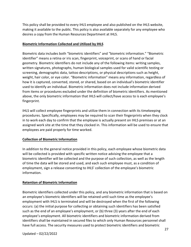This policy shall be provided to every IHLS employee and also published on the IHLS website, making it available to the public. This policy is also available separately for any employee who desires a copy from the Human Resources Department at IHLS.

# **Biometric Information Collected and Utilized by IHLS**

Biometric data includes both "biometric identifiers" and "biometric information." "Biometric identifier" means a retina or iris scan, fingerprint, voiceprint, or scans of hand or facial geometry. Biometric identifiers do not include any of the following items: writing samples, written signatures, photographs, human biological samples used for valid scientific testing or screening, demographic data, tattoo descriptions, or physical descriptions such as height, weight, hair color, or eye color. "Biometric information" means any information, regardless of how it is captured, converted, stored, or shared, based on an individual's biometric identifier used to identify an individual. Biometric information does not include information derived from items or procedures excluded under the definition of biometric identifiers. As mentioned above, the only biometric information that IHLS will collect/have access to is each employee's fingerprint.

IHLS will collect employee fingerprints and utilize them in connection with its timekeeping procedures. Specifically, employees may be required to scan their fingerprints when they clock in to work each day to confirm that the employee is actually present on IHLS premises or at an assigned work site at the time that they clocked in. This information will be used to ensure that employees are paid properly for time worked.

# **Collection of Biometric Information**

In addition to the general notice provided in this policy, each employee whose biometric data will be collected is provided with specific written notice advising the employee that a biometric identifier will be collected and the purpose of such collection, as well as the length of time the data will be stored and used, and each such employee must, as a condition of employment, sign a release consenting to IHLS' collection of the employee's biometric information.

# **Retention of Biometric Information**

Biometric identifiers collected under this policy, and any biometric information that is based on an employee's biometric identifiers will be retained until such time as the employee's employment with IHLS is terminated and will be destroyed when the first of the following occurs: (a) the initial purpose for collecting or obtaining such identifiers has been satisfied such as the end of an employee's employment, or (b) three (3) years after the end of each employee's employment. All biometric identifiers and biometric information derived from identifiers shall be maintained in secured files to which only Human Resources personnel shall have full access. The security measures used to protect biometric identifiers and biometric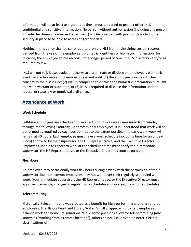information will be at least as rigorous as those measures used to protect other IHLS confidential and sensitive information. No person without authorization (including any person outside the Human Resources Department) will be provided with passwords and/or other security in place to be able to access fingerprint data.

Nothing in this policy shall be construed to prohibit IHLS from maintaining certain records derived from the use of the employee's biometric identifiers or biometric information (for instance, the employee's time records) for a longer period of time in IHLS' discretion and/or as required by law.

IHLS will not sell, lease, trade, or otherwise disseminate or disclose an employee's biometric identifiers or biometric information unless and until: (1) the employee provides written consent to the disclosure; (2) IHLS is compelled to disclose the biometric information pursuant to a valid warrant or subpoena; or (3) IHLS is required to disclose the information under a federal or state law or municipal ordinance.

# <span id="page-28-0"></span>**Attendance at Work**

# <span id="page-28-1"></span>**Work Schedule**

Full-time employees are scheduled to work a 40-hour work week measured from Sunday through the following Saturday. For professional employees, it is understood that work will be performed as required by each position; but to the extent possible, the basic work week will remain at 40 hours. Each employee must have a work schedule (including time for an unpaid lunch) approved by their supervisor, the HR Representative, and the Executive Director. Employees unable to report to work at the scheduled time must notify their immediate supervisor, the HR Representative, or the Executive Director as soon as possible.

# <span id="page-28-2"></span>**Flex Hours**

An employee may occasionally work flex hours during a week with the permission of their supervisor, but non-exempt employees may not work over their regularly scheduled work week. Your immediate supervisor, the HR Representative, or the Executive Director must approve in advance, changes in regular work schedules and working from home schedules.

# <span id="page-28-3"></span>**Telecommuting**

Historically, telecommuting was created as a benefit for high-performing and long-tenured employees. The Illinois Heartland Library System's (IHLS) approach is to help employees balance work and home life situations. While some positions allow for telecommuting (also known as "working from a remote location"), others do not, i.e., driver, or sorter. Certain classifications of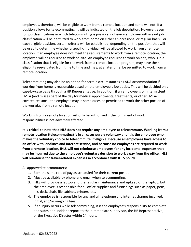employees, therefore, will be eligible to work from a remote location and some will not. If a position allows for telecommuting, it will be indicated on the job description. However, even for job classifications in which telecommuting is possible, not every employee within said job classification will be permitted to work from home on either an occasional or regular basis. For each eligible position, certain criteria will be established, depending on the position, that will be used to determine whether a specific individual will be allowed to work from a remote location. If an employee does not meet the requirements to work from a remote location, the employee will be required to work on-site. An employee required to work on-site, who is in a classification that is eligible for the work-from-a remote location program, may have their eligibility reevaluated from time to time and may, at a later time, be permitted to work from a remote location.

Telecommuting may also be an option for certain circumstances as ADA accommodation if working from home is reasonable based on the employee's job duties. This will be decided on a case-by-case basis through a HR Representative. In addition, if an employee is on intermittent FMLA (and misses part of the day for medical appointments, treatments, or other FMLAcovered reasons), the employee may in some cases be permitted to work the other portion of the workday from a remote location.

Working from a remote location will only be authorized if the fulfillment of work responsibilities is not adversely affected.

**It is critical to note that IHLS does not require any employee to telecommute. Working from a remote location (telecommuting) is in all cases purely voluntary and it is the employee who makes the voluntary choice to telecommute, if eligible. Because all employees have access to an office with landlines and internet service, and because no employees are required to work from a remote location, IHLS will not reimburse employees for any incidental expenses that may be incurred due to the employee's voluntary decision to work away from the office. IHLS will reimburse for travel-related expenses in accordance with IHLS policy.** 

All approved telecommuters:

- 1. Earn the same rate of pay as scheduled for their current position.
- 2. Must be available by phone and email when telecommuting.
- 3. IHLS will provide a laptop and the regular maintenance and upkeep of the laptop, but the employee is responsible for all office supplies and furnishings such as paper, pens, ink, desk, chair, file cabinet, printers, etc.
- 4. The employee is responsible for any and all telephone and internet charges incurred, initial, and/or on-going fees.
- 5. If an injury occurs while telecommuting, it is the employee's responsibility to complete and submit an incident report to their immediate supervisor, the HR Representative, or the Executive Director within 24 hours.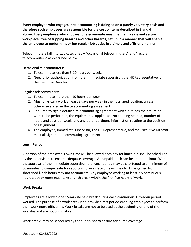**Every employee who engages in telecommuting is doing so on a purely voluntary basis and therefore such employees are responsible for the cost of items described in 3 and 4 above. Every employee who chooses to telecommute must maintain a safe and secure workplace, free of tripping hazards and other hazards, set up in a manner that will enable the employee to perform his or her regular job duties in a timely and efficient manner.** 

Telecommuters fall into two categories – "occasional telecommuters" and "regular telecommuters" as described below.

Occasional telecommuters:

- 1. Telecommute less than 5-10 hours per week.
- 2. Need prior authorization from their immediate supervisor, the HR Representative, or the Executive Director.

Regular telecommuters:

- 1. Telecommute more than 10 hours per week.
- 2. Must physically work at least 3 days per week in their assigned location, unless otherwise stated in the telecommuting agreement.
- 3. Required to sign a detailed telecommuting agreement which outlines the nature of work to be performed, the equipment, supplies and/or training needed, number of hours and days per week, and any other pertinent information relating to the position or assignment.
- 4. The employee, immediate supervisor, the HR Representative, and the Executive Director must all sign the telecommuting agreement.

# <span id="page-30-0"></span>**Lunch Period**

A portion of the employee's own time will be allowed each day for lunch but shall be scheduled by the supervisors to ensure adequate coverage. An unpaid lunch can be up to one hour. With the approval of the immediate supervisor, the lunch period may be shortened to a minimum of 30 minutes to compensate for reporting to work late or leaving early. Time gained from shortened lunch hours may not accumulate. Any employee working at least 7.5 continuous hours a day or more must take a lunch break within the first five hours of work.

# <span id="page-30-1"></span>**Work Breaks**

Employees are allowed one 15-minute paid break during each continuous 3.75-hour period worked. The purpose of a work break is to provide a rest period enabling employees to perform their work more efficiently. Work breaks are not to be used at the beginning or end of the workday and are not cumulative.

Work breaks may be scheduled by the supervisor to ensure adequate coverage.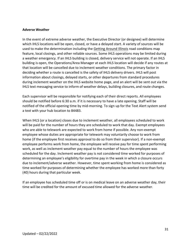#### <span id="page-31-0"></span>**Adverse Weather**

In the event of extreme adverse weather, the Executive Director (or designee) will determine which IHLS locations will be open, closed, or have a delayed start. A variety of sources will be used to make the determination including the [Getting Around Illinois](https://www.gettingaroundillinois.com/TravelerInfo/index.html) road conditions map feature, local closings, and other reliable sources. Some IHLS operations may be limited during a weather emergency. If an IHLS building is closed, delivery service will not operate. If an IHLS building is open, the Operations/Area Manager at each IHLS location will decide if any routes at that location will be cancelled due to inclement weather conditions. The primary factor in deciding whether a route is cancelled is the safety of IHLS delivery drivers. IHLS will post information about closings, delayed starts, or other departures from standard procedures during inclement weather on the IHLS website home page, and an alert will be sent out via the IHLS text messaging service to inform of weather delays, building closures, and route changes.

Each supervisor will be responsible for notifying each of their direct reports. All employees should be notified before 6:30 a.m. if it is necessary to have a late opening. Staff will be notified of the official opening time by mid-morning. To sign up for the Text Alert system send a text with your hub location to 84483.

When IHLS (or a location) closes due to inclement weather, all employees scheduled to work will be paid for the number of hours they are scheduled to work that day. Exempt employees who are able to telework are expected to work from home if possible. Any non-exempt employee whose duties are appropriate for telework may voluntarily choose to work from home (if the employee first receives approval to do so from their supervisor). If a non-exempt employee performs work from home, the employee will receive pay for time spent performing work, as well as inclement weather pay equal to the number of hours the employee was scheduled for the day. Inclement weather pay is not considered time worked for purposes of determining an employee's eligibility for overtime pay in the week in which a closure occurs due to inclement/adverse weather. However, time spent working from home is considered as time worked for purposes of determining whether the employee has worked more than forty (40) hours during that particular week.

If an employee has scheduled time off or is on medical leave on an adverse weather day, their time will be credited for the amount of excused time allowed for the adverse weather.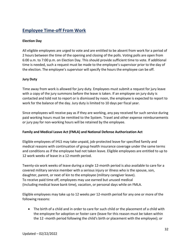# <span id="page-32-0"></span>**Employee Time-off From Work**

# <span id="page-32-1"></span>**Election Day**

All eligible employees are urged to vote and are entitled to be absent from work for a period of 2 hours between the time of the opening and closing of the polls. Voting polls are open from 6:00 a.m. to 7:00 p.m. on Election Day. This should provide sufficient time to vote. If additional time is needed, such a request must be made to the employee's supervisor prior to the day of the election. The employee's supervisor will specify the hours the employee can be off.

# <span id="page-32-2"></span>**Jury Duty**

Time away from work is allowed for jury duty. Employees must submit a request for jury leave with a copy of the jury summons before the leave is taken. If an employee on jury duty is contacted and told not to report or is dismissed by noon, the employee is expected to report to work for the balance of the day. Jury duty is limited to 10 days per fiscal year.

Since employees will receive pay as if they are working, any pay received for such service during paid working hours must be remitted to the System. Travel and other expense reimbursements or jury pay for non-working hours will be retained by the employee.

# <span id="page-32-3"></span>**Family and Medical Leave Act (FMLA) and National Defense Authorization Act**

Eligible employees of IHLS may take unpaid, job-protected leave for specified family and medical reasons with continuation of group health insurance coverage under the same terms and conditions as if the employee had not taken leave. Eligible employees are entitled to up to 12 work weeks of leave in a 12-month period.

Twenty-six work weeks of leave during a single 12-month period is also available to care for a covered military service member with a serious injury or illness who is the spouse, son, daughter, parent, or next of kin to the employee (military caregiver leave). To receive paid time off, employees may use earned but unused medical (Including medical leave bank time), vacation, or personal days while on FMLA.

Eligible employees may take up to 12 weeks per 12-month period for any one or more of the following reasons:

• The birth of a child and in order to care for such child or the placement of a child with the employee for adoption or foster care (leave for this reason must be taken within the 12 -month period following the child's birth or placement with the employee); or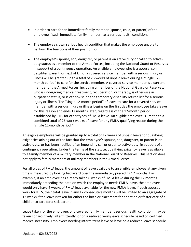- In order to care for an immediate family member (spouse, child, or parent) of the employee if such immediate family member has a serious health condition.
- The employee's own serious health condition that makes the employee unable to perform the functions of their position; or
- The employee's spouse, son, daughter, or parent is on active duty or called to activeduty status as a member of the Armed Forces, including the National Guard or Reserves in support of a contingency operation. An eligible employee who is a spouse, son, daughter, parent, or next of kin of a covered service member with a serious injury or illness will be granted up to a total of 26 weeks of unpaid leave during a "single 12 month period" to care for the service member. A covered service member is a current member of the Armed Forces, including a member of the National Guard or Reserves, who is undergoing medical treatment, recuperation, or therapy, is otherwise in outpatient status, or is otherwise on the temporary disability retired list for a serious injury or illness. The "single 12-month period" of leave to care for a covered service member with a serious injury or illness begins on the first day the employee takes leave for this reason and ends 12 months later, regardless of the 12-month period established by IHLS for other types of FMLA leave. An eligible employee is limited to a combined total of 26 work weeks of leave for any FMLA-qualifying reason during the "single 12-month period."

An eligible employee will be granted up to a total of 12 weeks of unpaid leave for qualifying exigencies arising out of the fact that the employee's spouse, son, daughter, or parent is on active duty, or has been notified of an impending call or order to active duty, in support of a contingency operation. Under the terms of the statute, qualifying exigency leave is available to a family member of a military member in the National Guard or Reserves. This section does not apply to family members of military members in the Armed Forces.

For all types of FMLA leave, the amount of leave available to an eligible employee at any given time is measured by looking backward over the immediately preceding 12 months. For example, if an employee has already taken 6 weeks of FMLA leave during the 12 months immediately preceding the date on which the employee needs FMLA leave, the employee would only have 6 weeks of FMLA leave available for the new FMLA leave. If both spouses work for IHLS, their total leave in any 12 consecutive months will be limited to an aggregate of 12 weeks if the leave is taken for either the birth or placement for adoption or foster care of a child or to care for a sick parent.

Leave taken for the employee, or a covered family member's serious health condition, may be taken consecutively, intermittently, or on a reduced work/leave schedule based on certified medical necessity. Employees needing intermittent leave or leave on a reduced leave schedule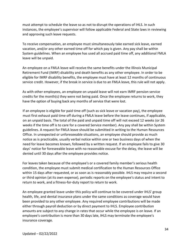must attempt to schedule the leave so as not to disrupt the operations of IHLS. In such instances, the employee's supervisor will follow applicable Federal and State laws in reviewing and approving such leave requests.

To receive compensation, an employee must simultaneously take earned sick leave, earned vacation, and/or any other earned time off for which pay is given. Any pay shall be within System guidelines. When an employee has used all accrued paid time off, any additional FMLA leave will be unpaid.

An employee on a FMLA leave will receive the same benefits under the Illinois Municipal Retirement Fund (IMRF) disability and death benefits as any other employee. In order to be eligible for IMRF disability benefits, the employee must have at least 12 months of continuous service credit. However, if the break in service is due to an FMLA leave, this rule will not apply.

As with other employees, an employee on unpaid leave will not earn IMRF pension service credits for the month(s) they were not being paid. Once the employee returns to work, they have the option of buying back any months of service that were lost.

If an employee is eligible for paid time off (such as sick leave or vacation pay), the employee must first exhaust paid time off during a FMLA leave before the leave continues, if applicable, on an unpaid basis. The total of the paid and unpaid time off will not exceed 12 weeks (or 26 weeks if the time off is to care for a covered Service member). Any pay shall be within System guidelines. A request for FMLA leave should be submitted in writing to the Human Resources Office. In unexpected or unforeseeable situations, an employee should provide as much notice as is practicable, usually verbal notice within one or two business days of when the need for leave becomes known, followed by a written request. If an employee fails to give 30 days' notice for foreseeable leave with no reasonable excuse for the delay, the leave will be denied until 30 days after the employee provides notice.

For leaves taken because of the employee's or a covered family member's serious health condition, the employee must submit medical certification to the Human Resources Office within 15 days after requested, or as soon as is reasonably possible. IHLS may require a second or third opinion (at its own expense), periodic reports on the employee's status and intent to return to work, and a fitness-for-duty report to return to work.

An employee granted leave under this policy will continue to be covered under IHLS' group health, life, and dental insurance plans under the same conditions as coverage would have been provided to any other employee. Any required employee contributions will be made either through payroll deduction or by direct payment to IHLS. Employee contribution amounts are subject to any change in rates that occur while the employee is on leave. If an employee's contribution is more than 30 days late, IHLS may terminate the employee's insurance coverage.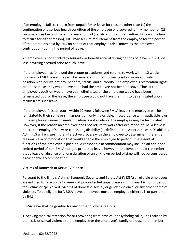If an employee fails to return from unpaid FMLA leave for reasons other than (1) the continuation of a serious health condition of the employee or a covered family member or (2) circumstances beyond the employee's control (certification required within 30 days of failure to return for either reason), IHLS may seek reimbursement from the employee for the portion of the premiums paid by IHLS on behalf of that employee (also known as the employer contribution) during the period of leave.

An employee is not entitled to seniority or benefit accrual during periods of leave but will not lose anything accrued prior to such leave.

If the employee has followed the proper procedures and returns to work within 12 weeks following a FMLA leave, they will be reinstated to their former position or an equivalent position with equivalent pay, benefits, status, and authority. The employee's restoration rights are the same as they would have been had the employee not been on leave. Thus, if the employee's position would have been eliminated or the employee would have been terminated but for the leave, the employee would not have the right to be reinstated upon return from such leave.

If the employee fails to return within 12 weeks following FMLA leave, the employee will be reinstated to their same or similar position, only if available, in accordance with applicable laws. If the employee's same or similar position is not available, the employee may be terminated. However, if the reason an employee does not return to work after expiration of FMLA leave is due to the employee's new or continuing disability (as defined in the Americans with Disabilities Act), IHLS will engage in the interactive process with the employee to determine if there is a reasonable accommodation that would enable the employee to perform the essential functions of the employee's position. A reasonable accommodation may include an additional limited period of non-FMLA non-job protected leave; however, employees should remember that a leave of absence of a long duration or an unknown period of time will not be considered a reasonable accommodation.

# **Victims of Domestic or Sexual Violence**

Pursuant to the Illinois Victims' Economic Security and Safety Act (VESSA) all eligible employees are entitled to take up to 12 weeks of job-protected unpaid leave during any 12-month period for victims or "perceived" victims of domestic, sexual, or gender violence, or any other crime of violence. To be eligible for VESSA leave, employees must be employed either full- or part-time by IHLS.

VESSA leave shall be granted for any of the following reasons:

1. Seeking medical attention for or recovering from physical or psychological injuries caused by domestic or sexual violence to the employee or the employee's family or household member.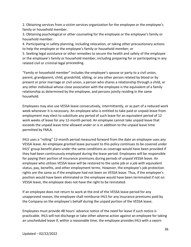2. Obtaining services from a victim services organization for the employee or the employee's family or household member.

3. Obtaining psychological or other counseling for the employee or the employee's family or household member.

4. Participating in safety planning, including relocation, or taking other precautionary actions to help the employee or the employee's family or household member; or

5. Seeking legal assistance or other remedies to secure the health and safety of the employee or the employee's family or household member, including preparing for or participating in any related civil or criminal legal proceeding.

"Family or household member" includes the employee's spouse or party to a civil union, parent, grandparent, child, grandchild, sibling, or any other person related by blood or by present or prior marriage or civil union, a person who shares a relationship through a child, or any other individual whose close association with the employee is the equivalent of a family relationship as determined by the employee, and persons jointly residing in the same household.

Employees may also use VESSA leave consecutively, intermittently, or as part of a reduced work week whenever it is necessary. An employee who is entitled to take paid or unpaid leave from employment may elect to substitute any period of such leave for an equivalent period of 12 work weeks of leave for any 12-month period. An employee cannot take unpaid leave that exceeds the unpaid leave time allowed under or is in addition to the unpaid leave time permitted by FMLA.

IHLS uses a "rolling" 12-month period measured forward from the date an employee uses any VESSA leave. An employee granted leave pursuant to this policy continues to be covered under IHLS' group benefit plans under the same conditions as coverage would have been provided if they had been continuously employed during the leave period. Employees will be responsible for paying their portion of insurance premiums during periods of unpaid VESSA leave. An employee who utilizes VESSA leave will be restored to the same job or a job with equivalent status, pay, benefits, and other employment terms. However, the employee's job protection rights are the same as if the employee had not been on VESSA leave. Thus, if the employee's position would have been eliminated or the employee would have been terminated if not on VESSA leave, the employee does not have the right to be reinstated.

If an employee does not return to work at the end of the VESSA leave period for any unapproved reason, the employee shall reimburse IHLS for any insurance premiums paid by the Company on the employee's behalf during the unpaid portion of the VESSA leave.

Employees must provide 48 hours' advance notice of the need for leave if such notice is practicable. IHLS will not discharge or take other adverse action against an employee for taking an unscheduled leave if, within a reasonable time, the employee provides IHLS with a sworn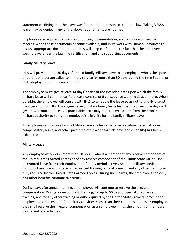statement certifying that the leave was for one of the reasons cited in the law. Taking VESSA leave may be denied if any of the above requirements are not met.

Employees are required to provide supporting documentation, such as police or medical records, when those documents become available, and must work with Human Resources to discuss appropriate documentation. IHLS will keep confidential the fact that the employee sought leave under the law, the certification, and any supporting documents.

# **Family Military Leave**

IHLS will provide up to 30 days of unpaid family military leave to an employee who is the spouse or parent of a person called to military service for more than 30 days during the time Federal or State deployment orders are in effect.

The employee must give at least 14 days' notice of the intended date upon which the family military leave will commence if the leave consists of 5 consecutive working days or more. When possible, the employee will consult with IHLS to schedule the leave so as not to unduly disrupt the operations of IHLS. Employees taking military family leave less than 5 consecutive days will give IHLS as much notice as is practicable. IHLS may require certification from the proper military authority to verify the employee's eligibility for the family military leave.

An employee cannot take Family Military Leave unless all accrued vacation, personal leave, compensatory leave, and other paid time off (except for sick leave and disability) has been exhausted.

# **Military Leave**

Any employee who works more than 30 hours, who is a member of any reserve component of the United States Armed Forces or of any reserve component of the Illinois State Militia, shall be granted leave from their employment for any period actively spent in military service, including basic training, special or advanced training, annual training, and any other training or duty required by the United States Armed Forces. During such leaves, the employee's seniority and other benefits continue to accrue.

During leaves for annual training, an employee will continue to receive their regular compensation. During leaves for basic training, for up to 60 days of special or advanced training, and for any other training or duty required by the United States Armed Forces if the employee's compensation for military activities is less than their compensation as an employee, they shall receive their regular compensation as an employee minus the amount of their base pay for military activities.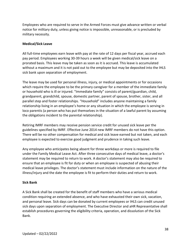Employees who are required to serve in the Armed Forces must give advance written or verbal notice for military duty, unless giving notice is impossible, unreasonable, or is precluded by military necessity.

#### <span id="page-38-0"></span>**Medical/Sick Leave**

All full-time employees earn leave with pay at the rate of 12 days per fiscal year, accrued each pay period. Employees working 30-39 hours a week will be given medical/sick leave on a prorated basis. This leave may be taken as soon as it is accrued. This leave is accumulated without a maximum and it is not paid out to the employee but may be deposited into the IHLS sick bank upon separation of employment.

The leave may be used for personal illness, injury, or medical appointments or for occasions which require the employee to be the primary caregiver for a member of the immediate family or household who is ill or injured. "Immediate family" consists of parent/guardian, child, grandparent, grandchild, spouse, domestic partner, parent of spouse, brother, sister, and all parallel step and foster relationships. "Household" includes anyone maintaining a family relationship living in an employee's home or any situation in which the employee is serving in loco parentis (a person who has put themselves in the situation of a lawful parent by assuming the obligations incident to the parental relationship).

Retiring IMRF members may receive pension service credit for unused sick leave per the guidelines specified by IMRF. Effective June 2014 new IMRF members do not have this option. There will be no other compensation for medical and sick leave earned but not taken, and each employee is expected to exercise good judgment and prudence in taking such leave.

Any employee who anticipates being absent for three workdays or more is required to file under the Family Medical Leave Act. After three consecutive days of medical leave, a doctor's statement may be required to return to work. A doctor's statement may also be required to ensure that an employee is fit for duty or when an employee is suspected of abusing their medical leave privileges. The doctor's statement must include information on the nature of the illness/injury and the date the employee is fit to perform their duties and return to work.

#### <span id="page-38-1"></span>**Sick Bank**

A Sick Bank shall be created for the benefit of staff members who have a serious medical condition requiring an extended absence, and who have exhausted their own sick, vacation, and personal leave. Sick days can be donated by current employees or IHLS can credit unused sick days upon separation of employment. The Executive Director and aHR Representative shall establish procedures governing the eligibility criteria, operation, and dissolution of the Sick Bank.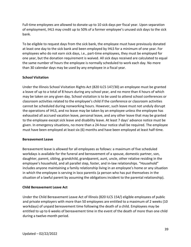Full-time employees are allowed to donate up to 10 sick days per fiscal year. Upon separation of employment, IHLS may credit up to 50% of a former employee's unused sick days to the sick bank.

To be eligible to request days from the sick bank, the employee must have previously donated at least one day to the sick bank and been employed by IHLS for a minimum of one year. For employees who do not earn sick days, i.e., part-time employees, they must be employed for one year, but the donation requirement is waived. All sick days received are calculated to equal the same number of hours the employee is normally scheduled to work each day. No more than 30 calendar days may be used by any employee in a fiscal year.

# <span id="page-39-0"></span>**School Visitation**

Under the Illinois School Visitation Rights Act (820 ILCS 147/30) an employee must be granted a leave of up to a total of 8 hours during any school year, and no more than 4 hours of which may be taken on any given day. School visitation is to be used to attend school conferences or classroom activities related to the employee's child if the conference or classroom activities cannot be scheduled during nonworking hours. However, such leave must not unduly disrupt the operations of IHLS, and no leave may be taken by an employee unless the employee has exhausted all accrued vacation leave, personal leave, and any other leave that may be granted to the employee except sick leave and disability leave. At least 7 days' advance notice must be given. In emergency situations, no more than a 24-hour notice shall be required. The employee must have been employed at least six (6) months and have been employed at least half-time.

#### <span id="page-39-1"></span>**Bereavement Leave**

Bereavement leave is allowed for all employees as follows: a maximum of five scheduled workdays is available for the funeral and bereavement of a spouse, domestic partner, son, daughter, parent, sibling, grandchild, grandparent, aunt, uncle, other relative residing in the employee's household, and all parallel step, foster, and in-law relationships. "Household" includes anyone maintaining a family relationship living in an employee's home or any situation in which the employee is serving in loco parentis (a person who has put themselves in the situation of a lawful parent by assuming the obligations incident to the parental relationship).

# <span id="page-39-2"></span>**Child Bereavement Leave Act**

Under the Child Bereavement Leave Act of Illinois (820 ILCS 154/) eligible employees of public and private employers with more than 50 employees are entitled to a maximum of 2 weeks (10 workdays) of unpaid bereavement time following the death of a child. Employees may be entitled to up to 6 weeks of bereavement time in the event of the death of more than one child during a twelve-month period.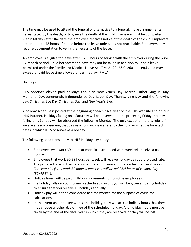The time may be used to attend the funeral or alternative to a funeral, make arrangements necessitated by the death, or to grieve the death of the child. The leave must be completed within 60 days after the date the employee receives notice of the death of the child. Employers are entitled to 48 hours of notice before the leave unless it is not practicable. Employers may require documentation to verify the necessity of the leave.

An employee is eligible for leave after 1,250 hours of service with the employer during the prior 12-month period. Child bereavement leave may not be taken in addition to unpaid leave permitted under the Family and Medical Leave Act (FMLA)(29 U.S.C. 2601 et seq.) , and may not exceed unpaid leave time allowed under that law (FMLA).

# **Holidays**

IHLS observes eleven paid holidays annually: New Year's Day; Martin Luther King Jr. Day, Memorial Day, Juneteenth, Independence Day, Labor Day, Thanksgiving Day and the following day, Christmas Eve Day,Christmas Day, and New Year's Eve.

A holiday schedule is posted at the beginning of each fiscal year on the IHLS website and on our IHLS Intranet. Holidays falling on a Saturday will be observed on the preceding Friday. Holidays falling on a Sunday will be observed the following Monday. The only exception to this rule is if we are already observing that day as a holiday. Please refer to the holiday schedule for exact dates in which IHLS observes as a holiday.

The following conditions apply to IHLS Holiday pay policy:

- Employees who work 30 hours or more in a scheduled work week will receive a paid holiday.
- Employees that work 30-39 hours per week will receive holiday pay at a prorated rate. The prorated rate will be determined based on your routinely scheduled work week. *For example, if you work 32 hours a week you will be paid 6.4 hours of Holiday Pay (32/40 8hr).*
- Holiday hours will be paid in 8-hour increments for full-time employees.
- If a holiday falls on your normally scheduled day off, you will be given a floating holiday to ensure that you receive 10 holidays annually.
- Holiday pay will not be considered as time worked for the purpose of overtime calculations.
- In the event an employee works on a holiday, they will accrue holiday hours that they may choose another day off lieu of the scheduled holiday. Any holiday hours must be taken by the end of the fiscal year in which they are received, or they will be lost.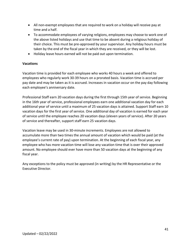- All non-exempt employees that are required to work on a holiday will receive pay at time and a half.
- To accommodate employees of varying religions, employees may choose to work one of the above listed holidays and use that time to be absent during a religious holiday of their choice. This must be pre-approved by your supervisor. Any holiday hours must be taken by the end of the fiscal year in which they are received, or they will be lost.
- Holiday leave hours earned will not be paid out upon termination.

# **Vacations**

Vacation time is provided for each employee who works 40 hours a week and offered to employees who regularly work 30-39 hours on a prorated basis. Vacation time is accrued per pay date and may be taken as it is accrued. Increases in vacation occur on the pay day following each employee's anniversary date.

Professional Staff earn 20 vacation days during the first through 15th year of service. Beginning in the 16th year of service, professional employees earn one additional vacation day for each additional year of service until a maximum of 25 vacation days is attained. Support Staff earn 10 vacation days for the first year of service. One additional day of vacation is earned for each year of service until the employee reaches 20 vacation days (eleven years of service). After 20 years of service and thereafter, support staff earn 25 vacation days.

Vacation leave may be used in 30-minute increments. Employees are not allowed to accumulate more than two times the annual amount of vacation which would be paid (at the employee's current rate of pay) upon termination. At the beginning of each fiscal year, any employee who has more vacation time will lose any vacation time that is over their approved amount. No employee should ever have more than 50 vacation days at the beginning of any fiscal year.

Any exceptions to the policy must be approved (in writing) by the HR Representative or the Executive Director.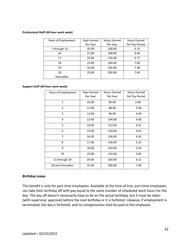#### **Professional Staff (40-hour work week)**

| Years of Employment | Days Earned | Hours Earned | <b>Hours Earned</b> |
|---------------------|-------------|--------------|---------------------|
|                     | Per Year    | Per Year     | Per Pay Period      |
| 1 through 15        | 20.00       | 160.00       | 6.15                |
| 16                  | 21.00       | 168.00       | 6.46                |
| 17                  | 22.00       | 176.00       | 6.77                |
| 18                  | 23.00       | 184.00       | 7.08                |
| 19                  | 24.00       | 192.00       | 7.38                |
| 20                  | 25.00       | 200.00       | 7.69                |
| thereafter          |             |              |                     |

#### **Support Staff (40-hour work week)**

| Years of Employment | Days Earned<br>Per Year | <b>Hours Earned</b><br>Per Year | <b>Hours Earned</b><br>Per Pay Period |
|---------------------|-------------------------|---------------------------------|---------------------------------------|
| $\mathbf{1}$        | 10.00                   | 80.00                           | 3.08                                  |
| $\overline{2}$      | 11.00                   | 88.00                           | 3.38                                  |
| 3                   | 12.00                   | 96.00                           | 3.69                                  |
| 4                   | 13.00                   | 104.00                          | 4.00                                  |
| 5                   | 14.00                   | 112.00                          | 4.31                                  |
| 6                   | 15.00                   | 120.00                          | 4.62                                  |
| $\overline{7}$      | 16.00                   | 128.00                          | 4.92                                  |
| 8                   | 17.00                   | 136.00                          | 5.23                                  |
| 9                   | 18.00                   | 144.00                          | 5.54                                  |
| 10                  | 19.00                   | 152.00                          | 5.85                                  |
| 11 through 19       | 20.00                   | 160.00                          | 6.15                                  |
| 20 and thereafter   | 25.00                   | 200.00                          | 7.69                                  |

#### **Birthday Leave**

This benefit is only for part-time employees. Available at the time of hire, part-time employees can take their birthday off with pay equal to the same number of scheduled work hours for the day. The day off doesn't necessarily have to be on the actual birthday, but it must be taken (with supervisor approval) before the next birthday or it is forfeited. Likewise, if employment is terminated, the day is forfeited, and no compensation shall be paid to the employee.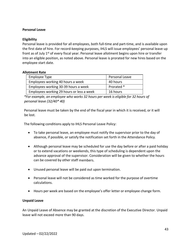#### **Personal Leave**

#### **Eligibility**

Personal leave is provided for all employees, both full-time and part-time, and is available upon the first date of hire. For record-keeping purposes, IHLS will issue employees' personal leave up front as of July 1<sup>st</sup> of every fiscal year. Personal leave allotment begins upon hire or transfer into an eligible position, as noted above. Personal leave is prorated for new hires based on the employee start date.

#### **Allotment Rate**

| Employee Type                             | Personal Leave |
|-------------------------------------------|----------------|
| Employees working 40 hours a week         | 40 hours       |
| Employees working 30-39 hours a week      | Prorated *     |
| Employees working 29 hours or less a week | 16 hours       |

*\*For example, an employee who works 32 hours per week is eligible for 32 hours of personal leave (32/40\* 40)*

Personal leave must be taken by the end of the fiscal year in which it is received, or it will be lost.

The following conditions apply to IHLS Personal Leave Policy:

- To take personal leave, an employee must notify the supervisor prior to the day of absence, if possible, or satisfy the notification set forth in the Attendance Policy.
- Although personal leave may be scheduled for use the day before or after a paid holiday or to extend vacations or weekends, this type of scheduling is dependent upon the advance approval of the supervisor. Consideration will be given to whether the hours can be covered by other staff members.
- Unused personal leave will be paid out upon termination.
- Personal leave will not be considered as time worked for the purpose of overtime calculations.
- Hours per week are based on the employee's offer letter or employee change form.

#### **Unpaid Leave**

An Unpaid Leave of Absence may be granted at the discretion of the Executive Director. Unpaid leave will not exceed more than 90 days.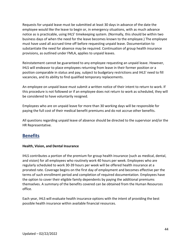Requests for unpaid leave must be submitted at least 30 days in advance of the date the employee would like the leave to begin or, in emergency situations, with as much advance notice as is practicable, using IHLS' timekeeping system. (Normally, this should be within two business days of when the need for the leave becomes known to the employee.) The employee must have used all accrued time off before requesting unpaid leave. Documentation to substantiate the need for absence may be required. Continuation of group health insurance provisions, as outlined under FMLA, applies to unpaid leaves.

Reinstatement cannot be guaranteed to any employee requesting an unpaid leave. However, IHLS will endeavor to place employees returning from leave in their former position or a position comparable in status and pay, subject to budgetary restrictions and IHLS' need to fill vacancies, and its ability to find qualified temporary replacements.

An employee on unpaid leave must submit a written notice of their intent to return to work. If this procedure is not followed or if an employee does not return to work as scheduled, they will be considered to have voluntarily resigned.

Employees who are on unpaid leave for more than 30 working days will be responsible for paying the full cost of their medical benefit premiums and do not accrue other benefits.

All questions regarding unpaid leave of absence should be directed to the supervisor and/or the HR Representative.

# **Benefits**

# **Health, Vision, and Dental Insurance**

IHLS contributes a portion of the premium for group health insurance (such as medical, dental, and vision) for all employees who routinely work 40 hours per week. Employees who are regularly scheduled to work 30-39 hours per week will be offered health insurance at a prorated rate. Coverage begins on the first day of employment and becomes effective per the terms of such enrollment period and completion of required documentation. Employees have the option to cover their eligible family dependents by paying the additional premiums themselves. A summary of the benefits covered can be obtained from the Human Resources office.

Each year, IHLS will evaluate health insurance options with the intent of providing the best possible health insurance within available financial resources.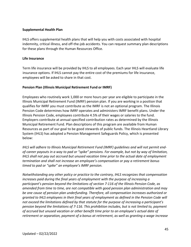#### **Supplemental Health Plan**

IHLS offers supplemental health plans that will help you with costs associated with hospital indemnity, critical illness, and off-the-job accidents. You can request summary plan descriptions for these plans through the Human Resources Office.

#### **Life Insurance**

Term life insurance will be provided by IHLS to all employees. Each year IHLS will evaluate life insurance options. If IHLS cannot pay the entire cost of the premiums for life insurance, employees will be asked to share in that cost.

#### **Pension Plan (Illinois Municipal Retirement Fund or IMRF)**

Employees who routinely work 1,000 or more hours per year are eligible to participate in the Illinois Municipal Retirement Fund (IMRF) pension plan. If you are working in a position that qualifies for IMRF you must contribute as the IMRF is not an optional program. The Illinois Pension Code determines how IMRF operates and administers IMRF benefit plans. Under the Illinois Pension Code, employees contribute 4.5% of their wages or salaries to the fund. Employers contribute at annual specified contribution rates as determined by the Illinois Municipal Retirement Fund. Plan descriptions of this program are available from Human Resources as part of our goal to be good stewards of public funds. The Illinois Heartland Library System (IHLS) has adopted a Pension Management Safeguards Policy, which is presented below:

*IHLS will adhere to Illinois Municipal Retirement Fund (IMRF) guidelines and will not permit endof-career payouts in a way to pad or "spike" pensions. For example, but not by way of limitation, IHLS shall not pay out accrued but unused vacation time prior to the actual date of employment termination and shall not increase an employee's compensation or pay a retirement bonus timed to pad or "spike" an employee's IMRF pension.* 

*Notwithstanding any other policy or practice to the contrary, IHLS recognizes that compensation increases paid during the final years of employment with the purpose of increasing a participant's pension beyond the limitations of section 7-116 of the Illinois Pension Code, as amended from time to time, are not compatible with good pension plan administration and may be one cause of pension plan underfunding. Therefore, all compensation increases authorized or granted to IHLS employees in their final years of employment as defined in the Pension Code will not exceed the limitations defined by that statute for the purpose of increasing a participant's pension beyond the limitations of 7-116. This prohibition includes, but is not limited to, payment of accrued but unused vacation or other benefit time prior to an employee's actual date of retirement or separation, payment of a bonus at retirement, as well as granting a wage increase*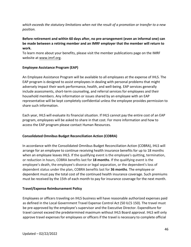*which exceeds the statutory limitations when not the result of a promotion or transfer to a new position.* 

# **Before retirement and within 60 days after, no pre-arrangement (even an informal one) can be made between a retiring member and an IMRF employer that the member will return to work.**

To learn more about your benefits, please visit the member publications page on the IMRF website at [www.imrf.org.](http://www.imrf.org/) 

# **Employee Assistance Program (EAP)**

An Employee Assistance Program will be available to all employees at the expense of IHLS. The EAP program is designed to assist employees in dealing with personal problems that might adversely impact their work performance, health, and well-being. EAP services generally include assessments, short-term counseling, and referral services for employees and their household members. Any information or issues shared by an employee with an EAP representative will be kept completely confidential unless the employee provides permission to share such information.

Each year, IHLS will evaluate its financial situation. If IHLS cannot pay the entire cost of an EAP program, employees will be asked to share in that cost. For more information and how to access the EAP program please contact Human Resources.

# **Consolidated Omnibus Budget Reconciliation Action (COBRA)**

In accordance with the Consolidated Omnibus Budget Reconciliation Action (COBRA), IHLS will arrange for an employee to continue receiving health insurance benefits for up to 18 months when an employee leaves IHLS. If the qualifying event is the employee's quitting, termination, or reduction in hours, COBRA benefits last for **18 months**. If the qualifying event is the employee's death, the employee's divorce or legal separation, or the dependent's loss of dependent status under the plan, COBRA benefits last for **36 months**. The employee or dependent must pay the total cost of the continued health insurance coverage. Such premiums must be received by the 15th of each month to pay for insurance coverage for the next month.

# **Travel/Expense Reimbursement Policy**

Employees or officers traveling on IHLS business will have reasonable authorized expenses paid as defined in the Local Government Travel Expense Control Act (50 ILCS 150). The travel must be pre-approved by the employee's supervisor and the Executive Director. Expenditure for travel cannot exceed the predetermined maximum without IHLS Board approval. IHLS will only approve travel expensesfor employees or officers if the travel is necessary to complete official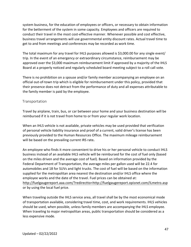system business, for the education of employees or officers, or necessary to obtain information for the betterment of the system in some capacity. Employees and officers are required to conduct their travel in the most cost-effective manner. Whenever possible and cost effective, business travel arrangements will use governmental entity discount rates. Actual travel time to get to and from meetings and conferences may be recorded as work time.

The total maximum for any travel for IHLS purposes allowed is \$3,000.00 for any single event/ trip. In the event of an emergency or extraordinary circumstance, reimbursement may be approved over the \$3,000 maximum reimbursement limit if approved by a majority of the IHLS Board at a properly noticed and regularly scheduled board meeting subject to a roll call vote.

There is no prohibition on a spouse and/or family member accompanying an employee on an official out-of-town trip which is eligible for reimbursement under this policy, provided that their presence does not detract from the performance of duty and all expenses attributable to the family member is paid by the employee.

# Transportation

Travel by airplane, train, bus, or car between your home and your business destination will be reimbursed if it is not travel from home to or from your regular work location.

When an IHLS vehicle is not available, private vehicles may be used provided that verification of personal vehicle liability insurance and proof of a current, valid driver's license has been previously provided to the Human Resources Office. The maximum mileage reimbursement will be based on the prevailing current IRS rate**.** 

An employee who finds it more convenient to drive his or her personal vehicle to conduct IHLS business instead of an available IHLS vehicle will be reimbursed for the cost of fuel only (based on the miles driven and the average cost of fuel). Based on information provided by the Federal Department of Transportation, the average miles per gallon used will be 22.4 for automobiles and 18 for SUVs and light trucks. The cost of fuel will be based on the information supplied for the metropolitan area nearest the destination and/or IHLS office where the employee works and the date of the travel. Fuel prices can be obtained at: http://fuelgaugereport.aaa.com/?redirectto=http://fuelgaugereport.opisnet.com/ILmetro.asp or by using the local fuel [price.](http://fuelgaugereport.aaa.com/?redirectto=http%3A//fuelgaugereport.opisnet.com/ILmetro.asp) 

When traveling outside the IHLS service area, all travel shall be by the most economical mode of transportation available, considering travel time, cost, and work requirements. IHLS vehicles should be used, when possible, unless family members are accompanying the IHLS employee. When traveling to major metropolitan areas, public transportation should be considered as a less expensive mode.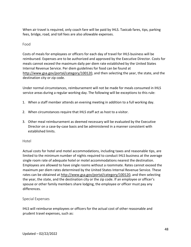When air travel is required, only coach fare will be paid by IHLS. Taxicab fares, tips, parking fees, bridge, road, and toll fees are also allowable expenses.

# Food

Costs of meals for employees or officers for each day of travel for IHLS business will be reimbursed. Expenses are to be authorized and approved by the Executive Director. Costs for meals cannot exceed the maximum daily per diem rate established by the United States Internal Revenue Service. Per diem guidelines for food can be found at <http://www.gsa.gov/portal/category/100120>, and then selecting the year, the state, and the destination city or zip code.

Under normal circumstances, reimbursement will not be made for meals consumed in IHLS service areas during a regular working day. The following will be exceptions to this rule:

- 1. When a staff member attends an evening meeting in addition to a full working day.
- 2. When circumstances require that IHLS staff act as host to a visitor.
- 3. Other meal reimbursement as deemed necessary will be evaluated by the Executive Director on a case-by-case basis and be administered in a manner consistent with established limits.

#### Hotel

Actual costs for hotel and motel accommodations, including taxes and reasonable tips, are limited to the minimum number of nights required to conduct IHLS business at the average single room rate of adequate hotel or motel accommodations nearest the destination. Employees are allowed to have single rooms without a roommate. Rates cannot exceed the maximum per diem rates determined by the United States Internal Revenue Service. These rates can be obtained at [http://www.gsa.gov/portal/category/100120,](http://www.gsa.gov/portal/category/100120) and then selecting the year, the state, and the destination city or the zip code. If an employee or officer's spouse or other family members share lodging, the employee or officer must pay any differences.

#### Special Expenses

IHLS will reimburse employees or officers for the actual cost of other reasonable and prudent travel expenses, such as: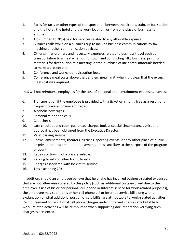- 1. Fares for taxis or other types of transportation between the airport, train, or bus station and the hotel, the hotel and the work location, or from one place of business to another.
- 2. Tips (limited to 20%) paid for services related to any allowable expense.
- 3. Business calls while on a business trip to include business communications by fax machine or other communication devices.
- 4. Other similar ordinary and necessary expenses related to business travel such as transportation to a meal when out of town and conducting IHLS business, printing materials for distribution at a meeting, or the purchase of incidental materials needed to make a presentation.
- 4. Conference and workshop registration fees.
- 5. Conference meal costs above the per diem meal limit, when it is clear that the excess meal cost was required.

IHLS will not reimburse employees for the cost of personal or entertainment expenses, such as:

- 6. Transportation if the employee is provided with a ticket or is riding free as a result of a frequent traveler or similar program.
- 7. Alcoholic beverages.
- 8. Personal telephone calls.
- 9. Coat check.
- 10. Late checkout and room guarantee charges (unless special circumstances exist and approval has been obtained from the Executive Director);
- 11. Valet parking service.
- 12. Shows, amusements, theaters, circuses, sporting events, or any other place of public or private entertainment or amusement, unless ancillary to the purpose of the program or event.
- 13. Repairs or towing of a private vehicle.
- 14. Parking tickets or other traffic tickets.
- 15. Charges associated with locksmith service.
- 16. Tips exceeding 20%

In addition, should an employee believe that he or she has incurred business-related expenses that are not otherwise covered by this policy (such as additional costs incurred due to the employee's use of his or her personal cell phone or Internet service for work-related purposes), the employee may submit his or her cell phone bill or Internet service bill along with an explanation of what additional portion of said bill(s) are attributable to work-related activities. Reimbursement for additional cell phone charges and/or Internet charges attributable to work- related activities will be reimbursed when supporting documentation verifying such charges is presented.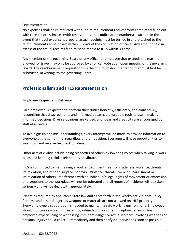#### Documentation

No expenses shall be reimbursed without a reimbursement request form completely filled out with receipts or estimates (with reservations and confirmation numbers) attached. In the event that travel expense is prepaid, actual receipts must be turned in and attached to the reimbursement request form within 30 days of the completion of travel. Any amount paid in excess of the actual receipts filed must be repaid to IHLS within 30 days.

Any member of the governing Board or any officer or employee that exceeds the maximum allowed for travel may only be approved by a roll call vote at an open meeting of the governing Board. The reimbursement request form is the minimum documentation that must first be submitted, in writing, to the governing Board.

# **Professionalism and IHLS Representation**

# **Employee Respect and Behavior**

Each employee is expected to perform their duties honestly, efficiently, and courteously, recognizing that disagreements and informed debates are valuable tools to use in making informed decisions. Diverse opinions are valued, and ideas and creativity are encouraged by staff at all levels.

To avoid gossip and misunderstandings, every attempt will be made to provide information to everyone at the same time, regardless of their position. Everyone will have opportunities to give input and receive feedback on ideas.

Other acts of civility include being respectful of others by lowering voices when talking in work areas and keeping cellular telephones on vibrate.

IHLS is committed to maintaining a work environment free from rudeness, violence, threats, intimidation, and other disruptive behavior. Violence, threats, coercion, harassment or intimidation of others, interference with an individual's legal rights of movement or expression, or disruptions to the workplace will not be tolerated and all reports of incidents will be taken seriously and will be dealt with appropriately.

Except as required by applicable State law and as set forth in the Workplace Violence Policy, firearms and other dangerous weapons or materials are not allowed on IHLS property. Every employee's cooperation is needed to maintain a safe working environment. Employees should not ignore violent, threatening, intimidating, or other disruptive behavior. Any employee experiencing or witnessing imminent danger or actual violence involving weapons or personal injury should call 911 immediately and then notify a supervisor as soon as possible.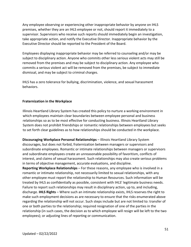Any employee observing or experiencing other inappropriate behavior by anyone on IHLS premises, whether they are an IHLS employee or not, should report it immediately to a supervisor. Supervisors who receive such reports should immediately begin an investigation, take appropriate action, and notify the Executive Director. Inappropriate behavior by the Executive Director should be reported to the President of the Board.

Employees displaying inappropriate behavior may be referred to counseling and/or may be subject to disciplinary action. Anyone who commits other less serious violent acts may still be removed from the premises and may be subject to disciplinary action. Any employee who commits a serious violent act will be removed from the premises, be subject to immediate dismissal, and may be subject to criminal charges.

IHLS has a zero tolerance for bullying, discrimination, violence, and sexual harassment behaviors.

# **Fraternization in the Workplace**

Illinois Heartland Library System has created this policy to nurture a working environment in which employees maintain clear boundaries between employee personal and business relationships so as to be most effective for conducting business. Illinois Heartland Library System does not prohibit friendships or romantic relationships between employees but seeks to set forth clear guidelines as to how relationships should be conducted in the workplace.

**Discouraging Workplace Personal Relationships** – Illinois Heartland Library System discourages, but does not forbid, fraternization between managers or supervisors and subordinate employees. Romantic or intimate relationships between managers or supervisors and subordinate employees create an unreasonable possibility of favoritism, conflicts of interest, and claims of sexual harassment. Such relationships may also create serious problems in terms of objective management, accurate evaluations, and discipline.

**Reporting Workplace Relationships** – For these reasons, any employee who is involved in a romantic or intimate relationship, not necessarily limited to sexual relationships, with any other employee must report the relationship to Human Resources. Such information will be treated by IHLS as confidentially as possible, consistent with IHLS' legitimate business needs. Failure to report such relationships may result in disciplinary action, up to, and including, discharge. **IHLS Rights** – Where such an intimate relationship exists, IHLS reserves the right to make such employment decisions as are necessary to ensure that the risks enumerated above regarding the relationship will not occur. Such steps include but are not limited to: transfer of one or both parties to the relationship; required resignation of one of the parties in the relationship (in such cases, the decision as to which employee will resign will be left to the two employees); or adjusting lines of reporting or communication.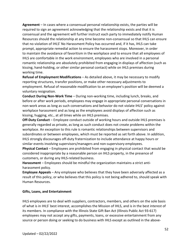**Agreement** – In cases where a consensual personal relationship exists, the parties will be required to sign an agreement acknowledging that the relationship exists and that it is consensual and the agreement will further instruct each party to immediately notify Human Resources should the relationship at any time become non-consensual so that IHLS can ensure that no violation of IHLS' No Harassment Policy has occurred and, if it has, IHLS can take prompt, appropriate remedial action to ensure the harassment stops. Moreover, in order to maintain the avoidance of favoritism in the workplace and to ensure that all employees of IHLS are comfortable in the work environment, employees who are involved in a personal romantic relationship are absolutely prohibited from engaging in displays of affection (such as kissing, hand-holding, or other similar personal contact) while on IHLS premises during working time.

**Refusal of Employment Modifications** – As detailed above, it may be necessary to modify reporting structures, transfer positions, or make other necessary adjustments to employment. Refusal of reasonable modification to an employee's position will be deemed a voluntary resignation.

**Conduct During Non-Work Time** – During non-working time, including lunch, breaks, and before or after work periods, employees may engage in appropriate personal conversations in non-work areas as long as such conversations and behavior do not violate IHLS' policy against workplace harassment and as long as the employees avoid displays of affection such as kissing, hugging, etc., at all times while on IHLS premises.

**Off-Duty Conduct** – Employee conduct outside of working hours and outside IHLS premises is generally regarded as private, as long as such conduct does not create problems within the workplace. An exception to this rule is romantic relationships between supervisors and subordinates or between employees, which must be reported as set forth above. In addition, IHLS strongly discourages off-duty fraternization to include attendance at happy hours or similar events involving supervisors/managers and non-supervisory employees.

**Physical Contact** – Employees are prohibited from engaging in physical contact that would be considered inappropriate by a reasonable person on IHLS property, in the presence of customers, or during any IHLS-related business.

**Harassment** – Employees should be mindful the organization maintains a strict antiharassment policy.

**Employee Appeals** – Any employee who believes that they have been adversely affected as a result of this policy, or who believes that this policy is not being adhered to, should speak with Human Resources.

#### **Gifts, Loans, and Entertainment**

IHLS employees are to deal with suppliers, contractors, members, and others on the sole basis of what is in IHLS' best interest, accomplishes the Mission of IHLS, and is in the best interest of its members. In compliance with the Illinois State Gift Ban Act (Illinois Public Act 93-617) employees may not accept any gifts, payments, loans, or excessive entertainment from any source or person doing or seeking to do business with IHLS except as outlined in the above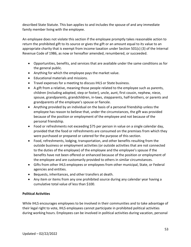described State Statute. This ban applies to and includes the spouse of and any immediate family member living with the employee.

An employee does not violate this section if the employee promptly takes reasonable action to return the prohibited gift to its source or gives the gift or an amount equal to its value to an appropriate charity that is exempt from income taxation under Section 501(c) (3) of the Internal Revenue Code of 1986, as now or hereafter amended, renumbered, or succeeded.

- Opportunities, benefits, and services that are available under the same conditions as for the general public.
- Anything for which the employee pays the market value.
- Educational materials and missions.
- Travel expenses for a meeting to discuss IHLS or State business.
- A gift from a relative, meaning those people related to the employee such as parents, children (including adopted, step or foster), uncle, aunt, first cousin, nephew, niece, spouse, grandparents, grandchildren, in-laws, stepparents, half-brothers, or parents and grandparents of the employee's spouse or fiancée.
- Anything provided by an individual on the basis of a personal friendship unless the employee has reason to believe that, under the circumstances, the gift was provided because of the position or employment of the employee and not because of the personal friendship.
- Food or refreshments not exceeding \$75 per person in value on a single calendar day, provided that the food or refreshments are consumed on the premises from which they were purchased or prepared or catered for the purpose of this section.
- Food, refreshments, lodging, transportation, and other benefits resulting from the outside business or employment activities (or outside activities that are not connected to the duties of the employee) of the employee and the employee's spouse if the benefits have not been offered or enhanced because of the position or employment of the employee and are customarily provided to others in similar circumstances.
- Gifts from other IHLS employees or employees from other municipal, State, or Federal agencies and entities.
- Bequests, inheritances, and other transfers at death.
- Any item or items from any one prohibited source during any calendar year having a cumulative total value of less than \$100.

# **Political Activities**

While IHLS encourages employees to be involved in their communities and to take advantage of their legal right to vote, IHLS employees cannot participate in prohibited political activities during working hours. Employees can be involved in political activities during vacation, personal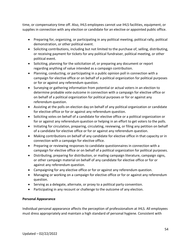time, or compensatory time off. Also, IHLS employees cannot use IHLS facilities, equipment, or supplies in connection with any election or candidate for an elective or appointed public office.

- Preparing for, organizing, or participating in any political meeting, political rally, political demonstration, or other political event.
- Soliciting contributions, including but not limited to the purchase of, selling, distributing, or receiving payment for tickets for any political fundraiser, political meeting, or other political event.
- Soliciting, planning for the solicitation of, or preparing any document or report regarding anything of value intended as a campaign contribution.
- Planning, conducting, or participating in a public opinion poll in connection with a campaign for elective office or on behalf of a political organization for political purposes or for or against any referendum question.
- Surveying or gathering information from potential or actual voters in an election to determine probable vote outcome in connection with a campaign for elective office or on behalf of a political organization for political purposes or for or against any referendum question.
- Assisting at the polls on election day on behalf of any political organization or candidate for elective office or for or against any referendum question.
- Soliciting votes on behalf of a candidate for elective office or a political organization or for or against any referendum question or helping in an effort to get voters to the polls.
- Initiating for circulation, preparing, circulating, reviewing, or filing any petition on behalf of a candidate for elective office or for or against any referendum question.
- Making contributions on behalf of any candidate for elective office in that capacity or in connection with a campaign for elective office.
- Preparing or reviewing responses to candidate questionnaires in connection with a campaign for elective office or on behalf of a political organization for political purposes.
- Distributing, preparing for distribution, or mailing campaign literature, campaign signs, or other campaign material on behalf of any candidate for elective office or for or against any referendum question.
- Campaigning for any elective office or for or against any referendum question.
- Managing or working on a campaign for elective office or for or against any referendum question.
- Serving as a delegate, alternate, or proxy to a political party convention.
- Participating in any recount or challenge to the outcome of any election.

# **Personal Appearance**

Individual personal appearance affects the perception of professionalism at IHLS. All employees must dress appropriately and maintain a high standard of personal hygiene. Consistent with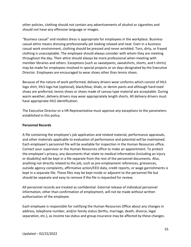other policies, clothing should not contain any advertisements of alcohol or cigarettes and should not have any offensive language or images.

"Business casual" and modest dress is appropriate for employees in the workplace. Business casual attire means dressing professionally yet looking relaxed and neat. Even in a business casual work environment, clothing should be pressed and never wrinkled. Torn, dirty, or frayed clothing is unacceptable. The employee should always consider with whom they are meeting throughout the day. Their attire should always be more professional when meeting with member libraries and others. Exceptions (such as sweatpants, sweatshirts, shorts, and t-shirts) may be made for employees involved in special projects or on days designated by the Executive Director. Employees are encouraged to wear shoes other than tennis shoes.

Because of the nature of work performed, delivery drivers wear uniforms which consist of IHLS logo shirt, IHLS logo hat (optional), black/blue, khaki, or denim pants and although hard-toed shoes are preferred, tennis shoes or shoes made of canvas-type material are acceptable. During warm weather, delivery drivers may wear appropriately length shorts. All delivery drivers must have appropriate IHLS identification.

The Executive Director or a HR Representative must approve any exceptions to the parameters established in this policy.

# **Personnel Records**

A file containing the employee's job application and related material, performance appraisals, and other materials applicable to evaluation of performance and potential will be maintained. Each employee's personnel file will be available for inspection in the Human Resources office. Contact your supervisor or the Human Resources office to make an appointment. To protect the employee's privacy, any documents that relate to medical information (including an injury or disability) will be kept in a file separate from the rest of the personnel documents. Also, anything not directly related to the job, such as pre-employment references, grievances, outside agency complaints, affirmative action/EEO data, credit reports, or wage garnishments is kept in a separate file. These files may be kept inside or adjacent to the personnel file but should be separate and easy to remove if the file is requested for review.

All personnel records are treated as confidential. External release of individual personnel information, other than confirmation of employment, will not be made without written authorization of the employee.

Each employee is responsible for notifying the Human Resources Office about any changes in address, telephone number, and/or family status (births, marriage, death, divorce, legal separation, etc.), as income tax status and group insurance may be affected by these changes.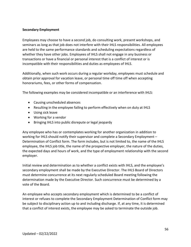#### **Secondary Employment**

Employees may choose to have a second job, do consulting work, present workshops, and seminars as long as that job does not interfere with their IHLS responsibilities. All employees are held to the same performance standards and scheduling expectations regardless of whether they have other jobs. Employees of IHLS shall not engage in any business or transactions or have a financial or personal interest that is a conflict of interest or is incompatible with their responsibilities and duties as employees of IHLS.

Additionally, when such work occurs during a regular workday, employees must schedule and obtain prior approval for vacation leave, or personal time off time off when accepting honorariums, fees, or other forms of compensation.

The following examples may be considered incompatible or an interference with IHLS:

- Causing unscheduled absences
- Resulting in the employee failing to perform effectively when on duty at IHLS
- Using sick leave
- Working for a vendor
- Bringing IHLS into public disrepute or legal jeopardy

Any employee who has or contemplates working for another organization in addition to working for IHLS should notify their supervisor and complete a Secondary Employment – Determination of Conflict form. The form includes, but is not limited to, the name of the IHLS employee, the IHLS job title, the name of the prospective employer, the nature of the duties, the expected days and hours of work, and the type of employment relationship with the second employer.

Initial review and determination as to whether a conflict exists with IHLS, and the employee's secondary employment shall be made by the Executive Director. The IHLS Board of Directors must determine concurrence at its next regularly scheduled Board meeting following the determination made by the Executive Director. Such concurrence must be determined by a vote of the Board.

An employee who accepts secondary employment which is determined to be a conflict of interest or refuses to complete the Secondary Employment Determination of Conflict form may be subject to disciplinary action up to and including discharge. If, at any time, it is determined that a conflict of interest exists, the employee may be asked to terminate the outside job.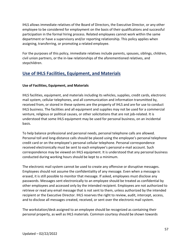IHLS allows immediate relatives of the Board of Directors, the Executive Director, or any other employee to be considered for employment on the basis of their qualifications and successful participation in the formal hiring process. Related employees cannot work within the same department or have a supervisory and/or reporting relationship. This policy applies when assigning, transferring, or promoting a related employee.

For the purposes of this policy, immediate relatives include parents, spouses, siblings, children, civil union partners, or the in-law relationships of the aforementioned relatives, and stepchildren.

# **Use of IHLS Facilities, Equipment, and Materials**

# **Use of Facilities, Equipment, and Materials**

IHLS facilities, equipment, and materials including its vehicles, supplies, credit cards, electronic mail system, cellular telephones, and all communication and information transmitted by, received from, or stored in these systems are the property of IHLS and are for use to conduct IHLS business. The facilities and all equipment and supplies may not be used for a commercial venture, religious or political causes, or other solicitations that are not job-related. It is understood that some IHLS equipment may be used for personal business, on an incidental basis.

To help balance professional and personal needs, personal telephone calls are allowed. Personal toll and long-distance calls should be placed using the employee's personal telephone credit card or on the employee's personal cellular telephone. Personal correspondence received electronically must be sent to each employee's personal e-mail account. Such correspondence may be viewed on IHLS equipment. It is understood that any personal business conducted during working hours should be kept to a minimum.

The electronic mail system cannot be used to create any offensive or disruptive messages. Employees should not assume the confidentiality of any message. Even when a message is erased, it is still possible to monitor that message. If asked, employees must disclose any passwords. Messages sent electronically to an employee should be treated as confidential by other employees and accessed only by the intended recipient. Employees are not authorized to retrieve or read any email message that is not sent to them, unless authorized by the intended recipient or the Executive Director. IHLS reserves the right to review, audit, intercept, access, and to disclose all messages created, received, or sent over the electronic mail system.

The workstation/desk assigned to an employee should be recognized as containing their personal property, as well as IHLS materials. Common courtesy should be shown towards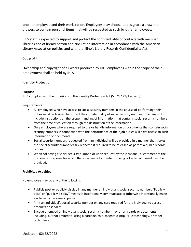another employee and their workstation. Employees may choose to designate a drawer or drawers to contain personal items that will be respected as such by other employees.

IHLS staff is expected to support and protect the confidentiality of contacts with member libraries and of library patron and circulation information in accordance with the American Library Association policies and with the Illinois Library Records Confidentiality Act.

# **Copyright**

Ownership and copyright of all works produced by IHLS employees within the scope of their employment shall be held by IHLS.

# **Identity Protection**

#### **Purpose**

IHLS complies with the provisions of the Identity Protection Act (5 ILCS 179/1 et seq.).

Requirements

- All employees who have access to social security numbers in the course of performing their duties must be trained to protect the confidentiality of social security numbers. Training will include instructions on the proper handling of information that contains social security numbers from the time of collection through the destruction of the information.
- Only employees who are required to use or handle information or documents that contain social security numbers in connection with the performance of their job duties will have access to such information or documents.
- Social security numbers requested from an individual will be provided in a manner that makes the social security number easily redacted if required to be released as part of a public records request.
- When collecting a social security number, or upon request by the individual, a statement of the purpose or purposes for which the social security number is being collected and used must be provided.

#### **Prohibited Activities**

No employee may do any of the following:

- Publicly post or publicly display in any manner an individual's social security number. "Publicly post" or "publicly display" means to intentionally communicate or otherwise intentionally make available to the general public.
- Print an individual's social security number on any card required for the individual to access products or services.
- Encode or embed an individual's social security number in or on any cards or documents, including, but not limited to, using a barcode, chip, magnetic strip, RFID technology, or other technology.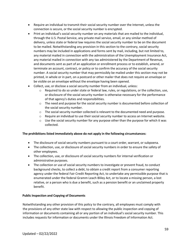- Require an individual to transmit their social security number over the Internet, unless the connection is secure, or the social security number is encrypted.
- Print an individual's social security number on any materials that are mailed to the individual, through the U.S. Postal Service, any private mail service, email, or any similar method of delivery, unless state or federal law requires the social security number to be on the document to be mailed. Notwithstanding any provision in this section to the contrary, social security numbers may be included in applications and forms sent by mail, including, but not limited to, any material mailed in connection with the administration of the Unemployment Insurance Act, any material mailed in connection with any tax administered by the Department of Revenue, and documents sent as part of an application or enrollment process or to establish, amend, or terminate an account, contract, or policy or to confirm the accuracy of the social security number. A social security number that may permissibly be mailed under this section may not be printed, in whole or in part, on a postcard or other mailer that does not require an envelope or be visible on an envelope without the envelope having been opened.
- Collect, use, or disclose a social security number from an individual, unless:
	- $\circ$  Required to do so under state or federal law, rules, or regulations, or the collection, use, or disclosure of the social security number is otherwise necessary for the performance of that agency's duties and responsibilities.
	- $\circ$  The need and purpose for the social security number is documented before collection of the social security number.
	- $\circ$  The social security number collected is relevant to the documented need and purpose.
	- $\circ$  Require an individual to use their social security number to access an Internet website.
	- $\circ$  Use the social security number for any purpose other than the purpose for which it was collected.

#### **The prohibitions listed immediately above do not apply in the following circumstances:**

- The disclosure of social security numbers pursuant to a court order, warrant, or subpoena.
- The collection, use, or disclosure of social security numbers in order to ensure the safety of other employees.
- The collection, use, or disclosure of social security numbers for internal verification or administrative purposes.
- The collection or use of social security numbers to investigate or prevent fraud, to conduct background checks, to collect a debt, to obtain a credit report from a consumer reporting agency under the federal Fair Credit Reporting Act, to undertake any permissible purpose that is enumerated under the federal Gramm Leach Bliley Act, or to locate a missing person, a lost relative, or a person who is due a benefit, such as a pension benefit or an unclaimed property benefit.

#### **Public Inspection and Copying of Documents**

Notwithstanding any other provision of this policy to the contrary, all employees must comply with the provisions of any other state law with respect to allowing the public inspection and copying of information or documents containing all or any portion of an individual's social security number. This includes requests for information or documents under the Illinois Freedom of Information Act.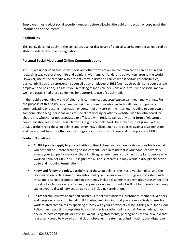Employees must redact social security numbers before allowing the public inspection or copying of the information or documents.

#### **Applicability**

This policy does not apply to the collection, use, or disclosure of a social security number as required by state or federal law, rule, or regulation.

#### **Personal Social Media and Online Communications**

At IHLS, we understand that social media and other forms of online communication can be a fun and rewarding way to share your life and opinions with family, friends, and co-workers around the world. However, use of social media also presents certain risks and carries with it certain responsibilities, particularly if you are representing yourself as an employee of IHLS (such as through listing your current employer and position). To assist you in making responsible decisions about your use of social media, we have established these guidelines for appropriate use of social media.

In the rapidly expanding world of electronic communication, *social media* can mean many things. For the purpose of this policy, *social media and online communication* includes all means of publicly communicating or posting information or content of any sort on the Internet, including to your own or someone else's blog, personal website, social networking or affinity website, web bulletin board, or chat room, whether or not associated or affiliated with IHLS, as well as any other form of electronic communication and social media platforms (e.g., Facebook, YouTube, LinkedIn, Instagram, Twitter, etc.). Carefully read these guidelines and other IHLS policies such as its policies against discrimination and harassment to ensure that your postings are consistent with these and other policies of IHLS.

#### **Content Guidelines**

- **All IHLS policies apply to your activities online**. Ultimately, you are solely responsible for what you post online. Before creating online content, keep in mind that if your conduct adversely affects your job performance or that of colleagues, members, customers, suppliers, people who work on behalf of IHLS, or IHLS' legitimate business interests, it may result in disciplinary action up to and including termination.
- **Know and follow the rules.** Carefully read these guidelines, the IHLS Diversity Policy, and the Discrimination & Harassment Prevention Policy, and ensure your postings are consistent with these policies. Inappropriate postings that may include discriminatory remarks, harassment, and threats of violence or any other inappropriate or unlawful conduct will not be tolerated and may subject you to disciplinary action up to and including termination.
- **Be respectful.** Always be fair and courteous to fellow associates, customers, members, vendors, and people who work on behalf of IHLS. Also, keep in mind that you are more likely to resolve work-related complaints by speaking directly with your co-workers or by utilizing our Open-Door Policy than by posting complaints to a social media or other online outlet. Nevertheless, if you decide to post complaints or criticism, avoid using statements, photographs, video, or audio that reasonably could be viewed as malicious, obscene, threatening, or intimidating; that disparage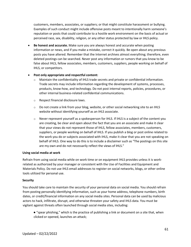customers, members, associates, or suppliers; or that might constitute harassment or bullying. Examples of such conduct might include offensive posts meant to intentionally harm someone's reputation or posts that could contribute to a hostile work environment on the basis of actual or perceived race, sex, disability, religion, or any other status protected by law or IHLS policy.

• **Be honest and accurate.** Make sure you are always honest and accurate when posting information or news, and if you make a mistake, correct it quickly. Be open about any previous posts you have altered. Remember that the Internet archives almost everything; therefore, even deleted postings can be searched. Never post any information or rumors that you know to be false about IHLS, fellow associates, members, customers, suppliers, people working on behalf of IHLS, or competitors.

#### • **Post only appropriate and respectful content:**

- $\circ$  Maintain the confidentiality of IHLS trade secrets and private or confidential information. Trade secrets may include information regarding the development of systems, processes, products, know-how, and technology. Do not post internal reports, policies, procedures, or other internal business-related confidential communications.
- o Respect financial disclosure laws.
- $\circ$  Do not create a link from your blog, website, or other social networking site to an IHLS website without identifying yourself as an IHLS associate.
- $\circ$  Never represent yourself as a spokesperson for IHLS. If IHLS is a subject of the content you are creating, be clear and open about the fact that you are an associate and make it clear that your views do not represent those of IHLS, fellow associates, members, customers, suppliers, or people working on behalf of IHLS. If you publish a blog or post online related to the work you do or subjects associated with IHLS, make it clear that you are not speaking on behalf of IHLS. One way to do this is to include a disclaimer such as "The postings on this site are my own and do not necessarily reflect the views of IHLS."

#### **Using social media at work**

Refrain from using social media while on work time or on equipment IHLS provides unless it is workrelated as authorized by your manager or consistent with the Use of Facilities and Equipment and Materials Policy. Do not use IHLS email addresses to register on social networks, blogs, or other online tools utilized for personal use.

#### **Security**

You should take care to maintain the security of your personal data on social media. You should refrain from posting personally identifying information, such as your home address, telephone numbers, birth dates, or credit/financial information on any social media sites. Personal data can be used by malicious actors to hack, infiltrate, disrupt, and otherwise threaten your safety and IHLS data. You must be vigilant against threats often launched through social media sites, including:

● "spear phishing," which is the practice of publishing a link or document on a site that, when clicked or opened, launches an attack;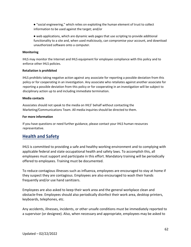● "social engineering," which relies on exploiting the human element of trust to collect information to be used against the target; and/or

● web applications, which are dynamic web pages that use scripting to provide additional functionality to a site and, when used maliciously, can compromise your account, and download unauthorized software onto a computer.

#### **Monitoring**

IHLS may monitor the Internet and IHLS equipment for employee compliance with this policy and to enforce other IHLS policies.

#### **Retaliation is prohibited**

IHLS prohibits taking negative action against any associate for reporting a possible deviation from this policy or for cooperating in an investigation. Any associate who retaliates against another associate for reporting a possible deviation from this policy or for cooperating in an investigation will be subject to disciplinary action up to and including immediate termination.

#### **Media contacts**

Associates should not speak to the media on IHLS' behalf without contacting the Marketing/Communications Team. All media inquiries should be directed to them.

#### **For more information**

If you have questions or need further guidance, please contact your IHLS human resources representative.

# **Health and Safety**

IHLS is committed to providing a safe and healthy working environment and to complying with applicable federal and state occupational health and safety laws. To accomplish this, all employees must support and participate in this effort. Mandatory training will be periodically offered to employees. Training must be documented.

To reduce contagious illnesses such as influenza, employees are encouraged to stay at home if they suspect they are contagious. Employees are also encouraged to wash their hands frequently and/or use hand sanitizers.

Employees are also asked to keep their work area and the general workplace clean and obstacle-free. Employees should also periodically disinfect their work area, desktop printers, keyboards, telephones, etc.

Any accidents, illnesses, incidents, or other unsafe conditions must be immediately reported to a supervisor (or designee). Also, when necessary and appropriate, employees may be asked to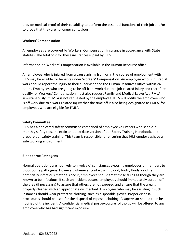provide medical proof of their capability to perform the essential functions of their job and/or to prove that they are no longer contagious.

#### **Workers' Compensation**

All employees are covered by Workers' Compensation Insurance in accordance with State statutes. The total cost for these insurances is paid by IHLS.

Information on Workers' Compensation is available in the Human Resource office.

An employee who is injured from a cause arising from or in the course of employment with IHLS may be eligible for benefits under Workers' Compensation. An employee who is injured at work should report the injury to their supervisor and the Human Resources office within 24 hours. Employees who are going to be off from work due to a job-related injury and therefore qualify for Workers' Compensation must also request Family and Medical Leave Act (FMLA) simultaneously. If FMLA is not requested by the employee, IHLS will notify the employee who is off work due to a work-related injury that the time off is also being designated as FMLA, for employees who are eligible for FMLA.

#### **Safety Committee**

IHLS has a dedicated safety committee comprised of employee volunteers who send out monthly safety tips, maintain an up-to-date version of our Safety Training Handbook, and prepare our safety training. This team is responsible for ensuring that IHLS employeeshave a safe working environment.

#### **Bloodborne Pathogens**

Normal operations are not likely to involve circumstances exposing employees or members to bloodborne pathogens. However, whenever contact with blood, bodily fluids, or other potentially infectious materials occur, employees should treat these fluids as though they are known to be infectious. If such an incident occurs, employees should immediately cordon off the area (if necessary) to assure that others are not exposed and ensure that the area is properly cleaned with an appropriate disinfectant. Employees who may be assisting in such instances should wear protective clothing, such as disposable gloves. Proper disposal procedures should be used for the disposal of exposed clothing. A supervisor should then be notified of the incident. A confidential medical post-exposure follow-up will be offered to any employee who has had significant exposure.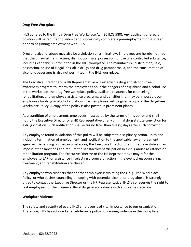#### **Drug-Free Workplace**

IHLS adheres to the Illinois Drug Free Workplace Act (30 ILCS 580). Any applicant offered a position will be required to submit and successfully complete a pre-employment drug screen prior to beginning employment with IHLS.

Drug and alcohol abuse may also be a violation of criminal law. Employees are hereby notified that the unlawful manufacture, distribution, sale, possession, or use of a controlled substance, including cannabis, is prohibited in the IHLS workplace. The manufacture, distribution, sale, possession, or use of illegal look-alike drugs and drug paraphernalia, and the consumption of alcoholic beverages is also not permitted in the IHLS workplace.

The Executive Director and a HR Representative will establish a drug and alcohol-free awareness program to inform the employees about the dangers of drug abuse and alcohol use in the workplace, the drug-free workplace policy, available resources for counseling, rehabilitation, and employee assistance programs, and penalties that may be imposed upon employees for drug or alcohol violations. Each employee will be given a copy of the Drug-Free Workplace Policy. A copy of the policy is also posted in prominent places.

As a condition of employment, employees must abide by the terms of this policy and shall notify the Executive Director or a HR Representative of any criminal drug statute conviction for a drug violation. Such notification shall occur no later than five (5) days after such conviction.

Any employee found in violation of this policy will be subject to disciplinary action, up to and including termination of employment, and notification to the applicable law enforcement agencies. Depending on the circumstances, the Executive Director or a HR Representative may impose other sanctions and require the satisfactory participation in a drug abuse assistance or rehabilitation program. The Executive Director or the HR Representative may refer the employee to EAP for assistance in selecting a course of action in the event drug counseling, treatment, and rehabilitation are chosen.

Any employee who suspects that another employee is violating the Drug-Free Workplace Policy, or who desires counseling on coping with potential alcohol or drug abuse, is strongly urged to contact the Executive Director or the HR Representative. IHLS also reserves the right to test employees for the presence illegal drugs in accordance with applicable state law.

#### **Workplace Violence**

The safety and security of every IHLS employee is of vital importance to our organization. Therefore, IHLS has adopted a zero-tolerance policy concerning violence in the workplace.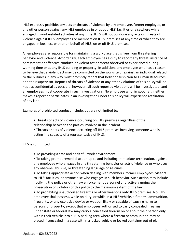IHLS expressly prohibits any acts or threats of violence by any employee, former employee, or any other person against any IHLS employee in or about IHLS' facilities or elsewhere while engaged in work-related activities at any time. IHLS will not condone any acts or threats of violence against IHLS' employees or members on IHLS' premises at any time or while they are engaged in business with or on behalf of IHLS, on or off IHLS premises.

All employees are responsible for maintaining a workplace that is free from threatening behavior and violence. Accordingly, each employee has a duty to report any threat, instance of harassment or offensive conduct, or violent act or threat observed or experienced during working time or at any IHLS building or property. In addition, any employee who has a reason to believe that a violent act may be committed on the worksite or against an individual related to the business in any way must promptly report that belief or suspicion to Human Resources and their supervisor. Reports of threats of violence or any other violations of this policy will be kept as confidential as possible; however, all such reported violations will be investigated, and all employees must cooperate in such investigations. No employee who, in good faith, either makes a report or participates in an investigation under this policy will experience retaliation of any kind.

Examples of prohibited conduct include, but are not limited to:

- Threats or acts of violence occurring on IHLS premises regardless of the relationship between the parties involved in the incident.
- Threats or acts of violence occurring off IHLS premises involving someone who is acting in a capacity of a representative of IHLS.

# IHLS is committed:

• To providing a safe and healthful work environment.

• To taking prompt remedial action up to and including immediate termination, against any employee who engages in any threatening behavior or acts of violence or who uses any obscene, abusive, or threatening language or gestures.

• To taking appropriate action when dealing with members, former employees, visitors to IHLS' facilities, or anyone else who engages in such behavior. Such action may include notifying the police or other law enforcement personnel and actively urging the prosecution of violators of this policy to the maximum extent of the law.

• To prohibiting unauthorized firearms or other weapons onto IHLS premises. No IHLS employee shall possess, while on duty, or while in a IHLS vehicle, a firearm, ammunition, fireworks, or any explosive device or weapon likely or capable of causing harm to persons or property, except that employees authorized to carry concealed firearms under state or federal law may carry a concealed firearm on or about their person only within their vehicle into a IHLS parking area where a firearm or ammunition may be placed if concealed in a case within a locked vehicle or locked container out of plain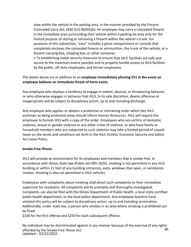view within the vehicle in the parking area, in the manner provided by the Firearm Concealed Carry Act, (430 ILCS 66/65)(b). An employee may carry a concealed firearm in the immediate area surrounding their vehicle within a parking lot area only for the limited purpose of storing or retrieving a firearm within the vehicle's trunk. For purposes of this subsection, "case" includes a glove compartment or console that completely encloses the concealed firearm or ammunition, the trunk of the vehicle, or a firearm carrying box, shipping box, or other container.

• To establishing viable security measures to ensure that IHLS' facilities are safe and secure to the maximum extent possible and to properly handle access to IHLS facilities by the public, off-duty employees, and former employees.

# The duties above are in addition to an **employee immediately phoning 911 in the event an employee believes an immediate threat of harm exists.**

Any employee who displays a tendency to engage in violent, abusive, or threatening behavior, or who otherwise engages in behavior that IHLS, in its sole discretion, deems offensive or inappropriate will be subject to disciplinary action, up to and including discharge.

Any employee who applies or obtains a protective or restraining order which lists IHLS premises as being protected areas should inform Human Resources. IHLS will require the employee to furnish IHLS with a copy of the order. Employees who are victims of domestic violence, sexual or gender violence or any other crime of violence, or who have family or household members who are subjected to such violence may take a limited period of unpaid leave on the terms and conditions set forth in the IHLS Victims' Economic Security and Safety Act Leave Policy.

# **Smoke-Free Illinois**

IHLS will provide an environment for its employees and members that is smoke free. In accordance with Illinois State law (Public Act 095-1029), smoking is not permitted in any IHLS building or within 15 feet of any building entrances, exits, windows that open, or ventilation intakes. Smoking is also not permitted in IHLS vehicles.

Employees with complaints about smoking shall direct such complaints to their immediate supervisor for resolution. All complaints will be promptly and thoroughly investigated. Complaints can also be filed with the Illinois Department of Public Health, a local state-certified public health department, or the local police department. Any employee found to have violated this policy will be subject to disciplinary action, up to and including termination. Additionally, under state law, a person who smokes in an area where smoking is prohibited can be fined

\$100 for the first offense and \$250 for each subsequent offense.

66 Updated – 02/22/2022 No individual may be discriminated against in any manner because of the exercise of any rights afforded by the Smoke Free Illinois Act.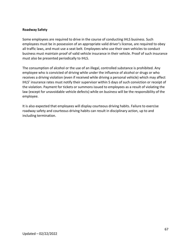#### **Roadway Safety**

Some employees are required to drive in the course of conducting IHLS business. Such employees must be in possession of an appropriate valid driver's license, are required to obey all traffic laws, and must use a seat belt. Employees who use their own vehicles to conduct business must maintain proof of valid vehicle insurance in their vehicle. Proof of such insurance must also be presented periodically to IHLS.

The consumption of alcohol or the use of an illegal, controlled substance is prohibited. Any employee who is convicted of driving while under the influence of alcohol or drugs or who receives a driving violation (even if received while driving a personal vehicle) which may affect IHLS' insurance rates must notify their supervisor within 5 days of such conviction or receipt of the violation. Payment for tickets or summons issued to employees as a result of violating the law (except for unavoidable vehicle defects) while on business will be the responsibility of the employee.

It is also expected that employees will display courteous driving habits. Failure to exercise roadway safety and courteous driving habits can result in disciplinary action, up to and including termination.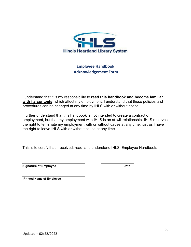

# **Employee Handbook Acknowledgement Form**

I understand that it is my responsibility to **read this handbook and become familiar with its contents**, which affect my employment. I understand that these policies and procedures can be changed at any time by IHLS with or without notice.

I further understand that this handbook is not intended to create a contract of employment, but that my employment with IHLS is an at-will relationship. IHLS reserves the right to terminate my employment with or without cause at any time, just as I have the right to leave IHLS with or without cause at any time.

This is to certify that I received, read, and understand IHLS' Employee Handbook.

**Signature of Employee Date**

**Printed Name of Employee**